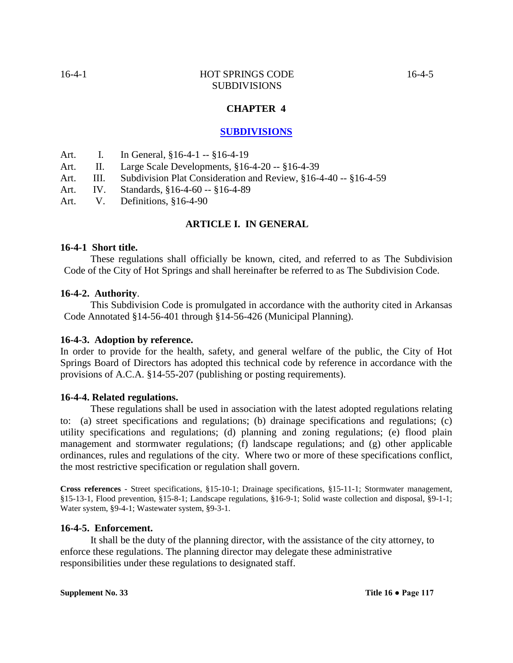# **CHAPTER 4**

# **SUBDIVISIONS**

- Art. I. In General, §16-4-1 -- §16-4-19
- Art. II. Large Scale Developments, §16-4-20 -- §16-4-39
- Art. III. Subdivision Plat Consideration and Review, §16-4-40 -- §16-4-59
- Art. IV. Standards, §16-4-60 -- §16-4-89
- Art. V. Definitions, §16-4-90

#### **ARTICLE I. IN GENERAL**

#### **16-4-1 Short title.**

These regulations shall officially be known, cited, and referred to as The Subdivision Code of the City of Hot Springs and shall hereinafter be referred to as The Subdivision Code.

#### **16-4-2. Authority**.

This Subdivision Code is promulgated in accordance with the authority cited in Arkansas Code Annotated §14-56-401 through §14-56-426 (Municipal Planning).

#### **16-4-3. Adoption by reference.**

In order to provide for the health, safety, and general welfare of the public, the City of Hot Springs Board of Directors has adopted this technical code by reference in accordance with the provisions of A.C.A. §14-55-207 (publishing or posting requirements).

#### **16-4-4. Related regulations.**

These regulations shall be used in association with the latest adopted regulations relating to: (a) street specifications and regulations; (b) drainage specifications and regulations; (c) utility specifications and regulations; (d) planning and zoning regulations; (e) flood plain management and stormwater regulations; (f) landscape regulations; and (g) other applicable ordinances, rules and regulations of the city. Where two or more of these specifications conflict, the most restrictive specification or regulation shall govern.

**Cross references** - Street specifications, §15-10-1; Drainage specifications, §15-11-1; Stormwater management, §15-13-1, Flood prevention, §15-8-1; Landscape regulations, §16-9-1; Solid waste collection and disposal, §9-1-1; Water system, §9-4-1; Wastewater system, §9-3-1.

#### **16-4-5. Enforcement.**

It shall be the duty of the planning director, with the assistance of the city attorney, to enforce these regulations. The planning director may delegate these administrative responsibilities under these regulations to designated staff.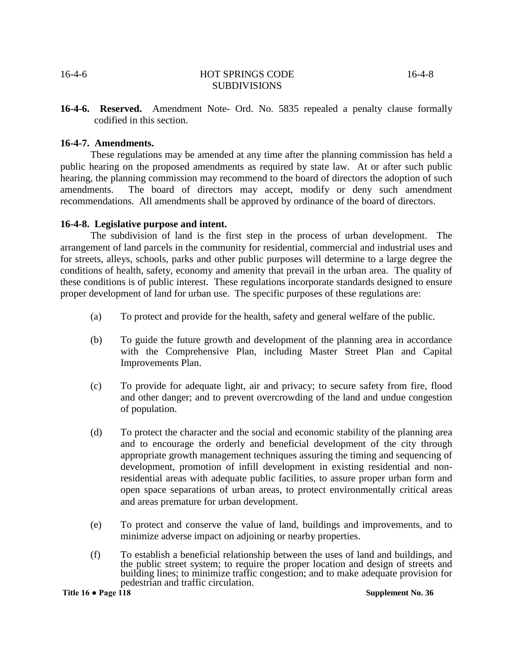**16-4-6. Reserved.** Amendment Note- Ord. No. 5835 repealed a penalty clause formally codified in this section.

#### **16-4-7. Amendments.**

These regulations may be amended at any time after the planning commission has held a public hearing on the proposed amendments as required by state law. At or after such public hearing, the planning commission may recommend to the board of directors the adoption of such amendments. The board of directors may accept, modify or deny such amendment recommendations. All amendments shall be approved by ordinance of the board of directors.

#### **16-4-8. Legislative purpose and intent.**

The subdivision of land is the first step in the process of urban development. The arrangement of land parcels in the community for residential, commercial and industrial uses and for streets, alleys, schools, parks and other public purposes will determine to a large degree the conditions of health, safety, economy and amenity that prevail in the urban area. The quality of these conditions is of public interest. These regulations incorporate standards designed to ensure proper development of land for urban use. The specific purposes of these regulations are:

- (a) To protect and provide for the health, safety and general welfare of the public.
- (b) To guide the future growth and development of the planning area in accordance with the Comprehensive Plan, including Master Street Plan and Capital Improvements Plan.
- (c) To provide for adequate light, air and privacy; to secure safety from fire, flood and other danger; and to prevent overcrowding of the land and undue congestion of population.
- (d) To protect the character and the social and economic stability of the planning area and to encourage the orderly and beneficial development of the city through appropriate growth management techniques assuring the timing and sequencing of development, promotion of infill development in existing residential and nonresidential areas with adequate public facilities, to assure proper urban form and open space separations of urban areas, to protect environmentally critical areas and areas premature for urban development.
- (e) To protect and conserve the value of land, buildings and improvements, and to minimize adverse impact on adjoining or nearby properties.
- (f) To establish a beneficial relationship between the uses of land and buildings, and the public street system; to require the proper location and design of streets and building lines; to minimize traffic congestion; and to make adequate provision for pedestrian and traffic circulation.

**Title 16 ● Page 118 Supplement No. 36**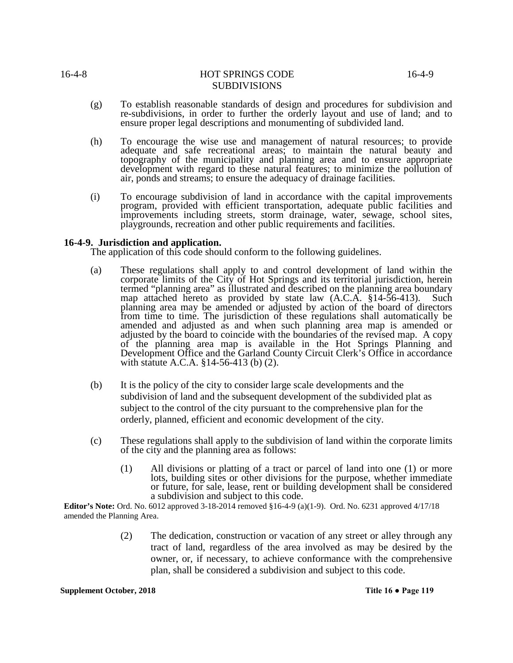- (g) To establish reasonable standards of design and procedures for subdivision and re-subdivisions, in order to further the orderly layout and use of land; and to ensure proper legal descriptions and monumenting of subdivided land.
- (h) To encourage the wise use and management of natural resources; to provide adequate and safe recreational areas; to maintain the natural beauty and topography of the municipality and planning area and to ensure appropriate development with regard to these natural features; to minimize the pollution of air, ponds and streams; to ensure the adequacy of drainage facilities.
- (i) To encourage subdivision of land in accordance with the capital improvements program, provided with efficient transportation, adequate public facilities and improvements including streets, storm drainage, water, sewage, school sites, playgrounds, recreation and other public requirements and facilities.

#### **16-4-9. Jurisdiction and application.**

The application of this code should conform to the following guidelines.

- (a) These regulations shall apply to and control development of land within the corporate limits of the City of Hot Springs and its territorial jurisdiction, herein termed "planning area" as illustrated and described on the planning area boundary map attached hereto as provided by state law (A.C.A. §14-56-413).Such planning area may be amended or adjusted by action of the board of directors from time to time. The jurisdiction of these regulations shall automatically be amended and adjusted as and when such planning area map is amended or adjusted by the board to coincide with the boundaries of the revised map. A copy of the planning area map is available in the Hot Springs Planning and Development Office and the Garland County Circuit Clerk's Office in accordance with statute A.C.A. §14-56-413 (b) (2).
- (b) It is the policy of the city to consider large scale developments and the subdivision of land and the subsequent development of the subdivided plat as subject to the control of the city pursuant to the comprehensive plan for the orderly, planned, efficient and economic development of the city.
- (c) These regulations shall apply to the subdivision of land within the corporate limits of the city and the planning area as follows:
	- (1) All divisions or platting of a tract or parcel of land into one (1) or more lots, building sites or other divisions for the purpose, whether immediate or future, for sale, lease, rent or building development shall be considered a subdivision and subject to this code.

**Editor's Note:** Ord. No. 6012 approved 3-18-2014 removed §16-4-9 (a)(1-9). Ord. No. 6231 approved 4/17/18 amended the Planning Area.

> (2) The dedication, construction or vacation of any street or alley through any tract of land, regardless of the area involved as may be desired by the owner, or, if necessary, to achieve conformance with the comprehensive plan, shall be considered a subdivision and subject to this code.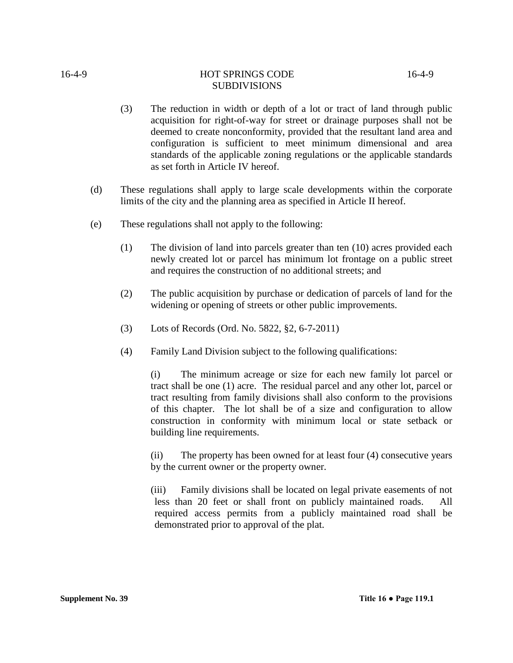- (3) The reduction in width or depth of a lot or tract of land through public acquisition for right-of-way for street or drainage purposes shall not be deemed to create nonconformity, provided that the resultant land area and configuration is sufficient to meet minimum dimensional and area standards of the applicable zoning regulations or the applicable standards as set forth in Article IV hereof.
- (d) These regulations shall apply to large scale developments within the corporate limits of the city and the planning area as specified in Article II hereof.
- (e) These regulations shall not apply to the following:
	- (1) The division of land into parcels greater than ten (10) acres provided each newly created lot or parcel has minimum lot frontage on a public street and requires the construction of no additional streets; and
	- (2) The public acquisition by purchase or dedication of parcels of land for the widening or opening of streets or other public improvements.
	- (3) Lots of Records (Ord. No. 5822, §2, 6-7-2011)
	- (4) Family Land Division subject to the following qualifications:

(i) The minimum acreage or size for each new family lot parcel or tract shall be one (1) acre. The residual parcel and any other lot, parcel or tract resulting from family divisions shall also conform to the provisions of this chapter. The lot shall be of a size and configuration to allow construction in conformity with minimum local or state setback or building line requirements.

(ii) The property has been owned for at least four (4) consecutive years by the current owner or the property owner.

(iii) Family divisions shall be located on legal private easements of not less than 20 feet or shall front on publicly maintained roads. All required access permits from a publicly maintained road shall be demonstrated prior to approval of the plat.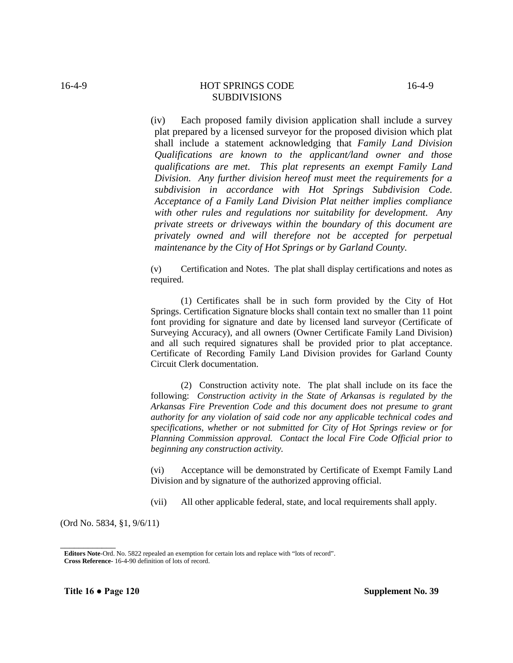(iv) Each proposed family division application shall include a survey plat prepared by a licensed surveyor for the proposed division which plat shall include a statement acknowledging that *Family Land Division Qualifications are known to the applicant/land owner and those qualifications are met*. *This plat represents an exempt Family Land Division. Any further division hereof must meet the requirements for a subdivision in accordance with Hot Springs Subdivision Code. Acceptance of a Family Land Division Plat neither implies compliance with other rules and regulations nor suitability for development. Any private streets or driveways within the boundary of this document are privately owned and will therefore not be accepted for perpetual maintenance by the City of Hot Springs or by Garland County.* 

(v) Certification and Notes. The plat shall display certifications and notes as required.

(1) Certificates shall be in such form provided by the City of Hot Springs. Certification Signature blocks shall contain text no smaller than 11 point font providing for signature and date by licensed land surveyor (Certificate of Surveying Accuracy), and all owners (Owner Certificate Family Land Division) and all such required signatures shall be provided prior to plat acceptance. Certificate of Recording Family Land Division provides for Garland County Circuit Clerk documentation.

(2) Construction activity note. The plat shall include on its face the following: *Construction activity in the State of Arkansas is regulated by the Arkansas Fire Prevention Code and this document does not presume to grant authority for any violation of said code nor any applicable technical codes and specifications, whether or not submitted for City of Hot Springs review or for Planning Commission approval. Contact the local Fire Code Official prior to beginning any construction activity.*

(vi) Acceptance will be demonstrated by Certificate of Exempt Family Land Division and by signature of the authorized approving official.

(vii) All other applicable federal, state, and local requirements shall apply.

(Ord No. 5834, §1, 9/6/11)

*\_\_\_\_\_\_\_\_\_\_\_\_*

**Editors Note**-Ord. No. 5822 repealed an exemption for certain lots and replace with "lots of record". **Cross Reference-** 16-4-90 definition of lots of record.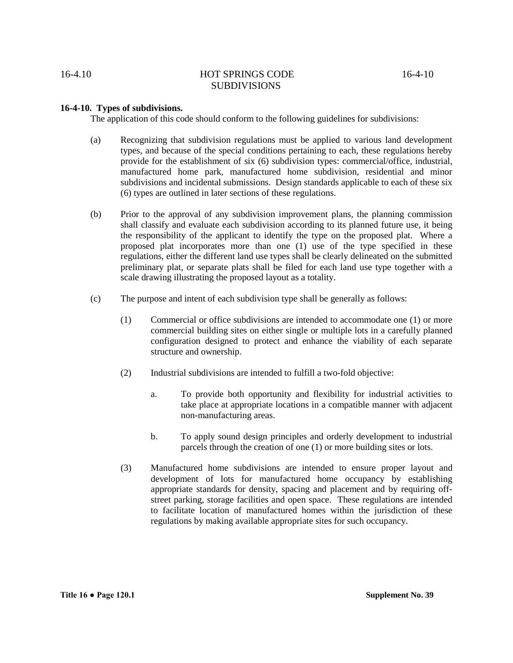#### 16-4.10 **HOT SPRINGS CODE** 16-4-10 **SUBDIVISIONS**

#### **16-4-10. Types of subdivisions.**

The application of this code should conform to the following guidelines for subdivisions:

- (a) Recognizing that subdivision regulations must be applied to various land development types, and because of the special conditions pertaining to each, these regulations hereby provide for the establishment of six (6) subdivision types: commercial/office, industrial, manufactured home park, manufactured home subdivision, residential and minor subdivisions and incidental submissions. Design standards applicable to each of these six (6) types are outlined in later sections of these regulations.
- (b) Prior to the approval of any subdivision improvement plans, the planning commission shall classify and evaluate each subdivision according to its planned future use, it being the responsibility of the applicant to identify the type on the proposed plat. Where a proposed plat incorporates more than one (1) use of the type specified in these regulations, either the different land use types shall be clearly delineated on the submitted preliminary plat, or separate plats shall be filed for each land use type together with a scale drawing illustrating the proposed layout as a totality.
- (c) The purpose and intent of each subdivision type shall be generally as follows:
	- (1) Commercial or office subdivisions are intended to accommodate one (1) or more commercial building sites on either single or multiple lots in a carefully planned configuration designed to protect and enhance the viability of each separate structure and ownership.
	- (2) Industrial subdivisions are intended to fulfill a two-fold objective:
		- a. To provide both opportunity and flexibility for industrial activities to take place at appropriate locations in a compatible manner with adjacent non-manufacturing areas.
		- b. To apply sound design principles and orderly development to industrial parcels through the creation of one (1) or more building sites or lots.
	- (3) Manufactured home subdivisions are intended to ensure proper layout and development of lots for manufactured home occupancy by establishing appropriate standards for density, spacing and placement and by requiring offstreet parking, storage facilities and open space. These regulations are intended to facilitate location of manufactured homes within the jurisdiction of these regulations by making available appropriate sites for such occupancy.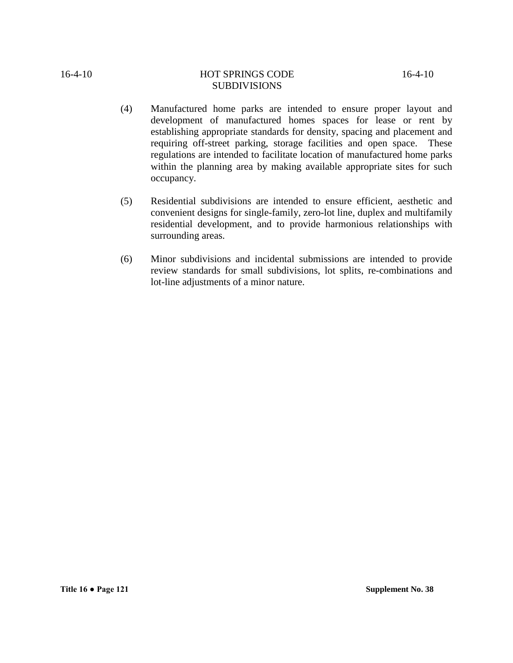- (4) Manufactured home parks are intended to ensure proper layout and development of manufactured homes spaces for lease or rent by establishing appropriate standards for density, spacing and placement and requiring off-street parking, storage facilities and open space. These regulations are intended to facilitate location of manufactured home parks within the planning area by making available appropriate sites for such occupancy.
- (5) Residential subdivisions are intended to ensure efficient, aesthetic and convenient designs for single-family, zero-lot line, duplex and multifamily residential development, and to provide harmonious relationships with surrounding areas.
- (6) Minor subdivisions and incidental submissions are intended to provide review standards for small subdivisions, lot splits, re-combinations and lot-line adjustments of a minor nature.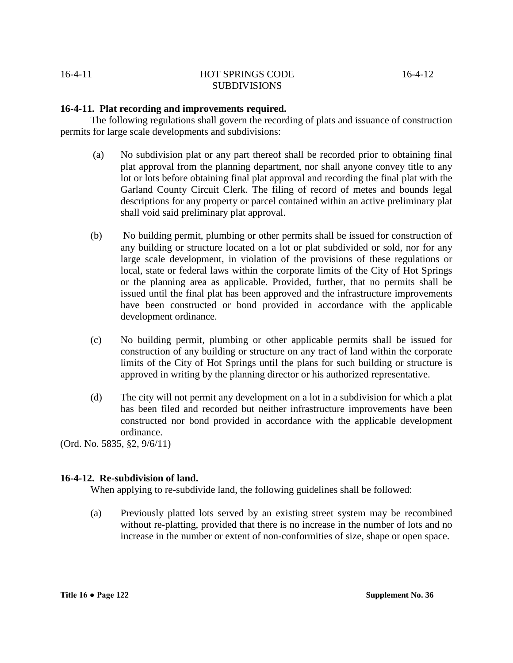#### **16-4-11. Plat recording and improvements required.**

The following regulations shall govern the recording of plats and issuance of construction permits for large scale developments and subdivisions:

- (a) No subdivision plat or any part thereof shall be recorded prior to obtaining final plat approval from the planning department, nor shall anyone convey title to any lot or lots before obtaining final plat approval and recording the final plat with the Garland County Circuit Clerk. The filing of record of metes and bounds legal descriptions for any property or parcel contained within an active preliminary plat shall void said preliminary plat approval.
- (b) No building permit, plumbing or other permits shall be issued for construction of any building or structure located on a lot or plat subdivided or sold, nor for any large scale development, in violation of the provisions of these regulations or local, state or federal laws within the corporate limits of the City of Hot Springs or the planning area as applicable. Provided, further, that no permits shall be issued until the final plat has been approved and the infrastructure improvements have been constructed or bond provided in accordance with the applicable development ordinance.
- (c) No building permit, plumbing or other applicable permits shall be issued for construction of any building or structure on any tract of land within the corporate limits of the City of Hot Springs until the plans for such building or structure is approved in writing by the planning director or his authorized representative.
- (d) The city will not permit any development on a lot in a subdivision for which a plat has been filed and recorded but neither infrastructure improvements have been constructed nor bond provided in accordance with the applicable development ordinance.

(Ord. No. 5835, §2, 9/6/11)

#### **16-4-12. Re-subdivision of land.**

When applying to re-subdivide land, the following guidelines shall be followed:

(a) Previously platted lots served by an existing street system may be recombined without re-platting, provided that there is no increase in the number of lots and no increase in the number or extent of non-conformities of size, shape or open space.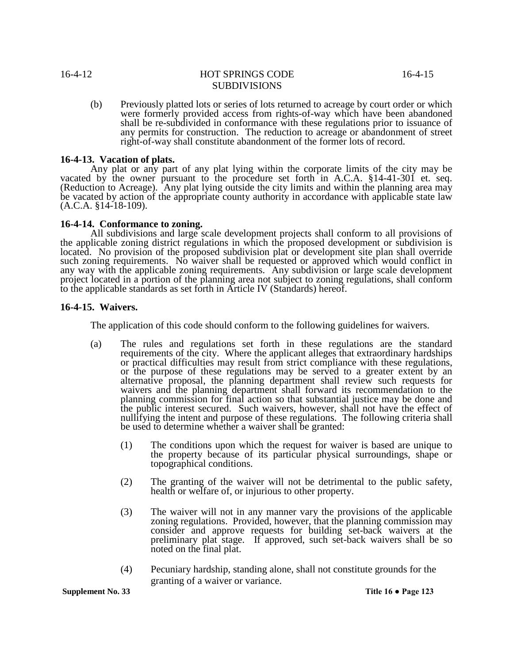(b) Previously platted lots or series of lots returned to acreage by court order or which were formerly provided access from rights-of-way which have been abandoned shall be re-subdivided in conformance with these regulations prior to issuance of any permits for construction. The reduction to acreage or abandonment of street right-of-way shall constitute abandonment of the former lots of record.

#### **16-4-13. Vacation of plats.**

Any plat or any part of any plat lying within the corporate limits of the city may be vacated by the owner pursuant to the procedure set forth in A.C.A. §14-41-301 et. seq. (Reduction to Acreage). Any plat lying outside the city limits and within the planning area may be vacated by action of the appropriate county authority in accordance with applicable state law (A.C.A. §14-18-109).

#### **16-4-14. Conformance to zoning.**

All subdivisions and large scale development projects shall conform to all provisions of the applicable zoning district regulations in which the proposed development or subdivision is located. No provision of the proposed subdivision plat or development site plan shall override such zoning requirements. No waiver shall be requested or approved which would conflict in any way with the applicable zoning requirements. Any subdivision or large scale development project located in a portion of the planning area not subject to zoning regulations, shall conform to the applicable standards as set forth in Article IV (Standards) hereof.

#### **16-4-15. Waivers.**

The application of this code should conform to the following guidelines for waivers.

- (a) The rules and regulations set forth in these regulations are the standard requirements of the city. Where the applicant alleges that extraordinary hardships or practical difficulties may result from strict compliance with these regulations, or the purpose of these regulations may be served to a greater extent by an alternative proposal, the planning department shall review such requests for waivers and the planning department shall forward its recommendation to the planning commission for final action so that substantial justice may be done and the public interest secured. Such waivers, however, shall not have the effect of nullifying the intent and purpose of these regulations. The following criteria shall be used to determine whether a waiver shall be granted:
	- (1) The conditions upon which the request for waiver is based are unique to the property because of its particular physical surroundings, shape or topographical conditions.
	- (2) The granting of the waiver will not be detrimental to the public safety, health or welfare of, or injurious to other property.
	- (3) The waiver will not in any manner vary the provisions of the applicable zoning regulations. Provided, however, that the planning commission may consider and approve requests for building set-back waivers at the preliminary plat stage. If approved, such set-back waivers shall be so noted on the final plat.
	- (4) Pecuniary hardship, standing alone, shall not constitute grounds for the granting of a waiver or variance.

**Supplement No. 33 Title 16 ● Page 123**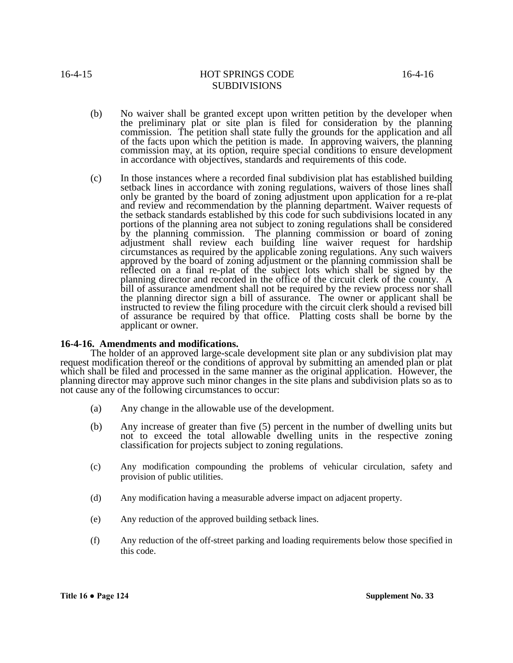- (b) No waiver shall be granted except upon written petition by the developer when the preliminary plat or site plan is filed for consideration by the planning commission. The petition shall state fully the grounds for the application and all of the facts upon which the petition is made. In approving waivers, the planning commission may, at its option, require special conditions to ensure development in accordance with objectives, standards and requirements of this code.
- (c) In those instances where a recorded final subdivision plat has established building setback lines in accordance with zoning regulations, waivers of those lines shall only be granted by the board of zoning adjustment upon application for a re-plat and review and recommendation by the planning department. Waiver requests of the setback standards established by this code for such subdivisions located in any portions of the planning area not subject to zoning regulations shall be considered by the planning commission. The planning commission or board of zoning adjustment shall review each building line waiver request for hardship circumstances as required by the applicable zoning regulations. Any such waivers approved by the board of zoning adjustment or the planning commission shall be reflected on a final re-plat of the subject lots which shall be signed by the planning director and recorded in the office of the circuit clerk of the county. A bill of assurance amendment shall not be required by the review process nor shall the planning director sign a bill of assurance. The owner or applicant shall be instructed to review the filing procedure with the circuit clerk should a revised bill of assurance be required by that office. Platting costs shall be borne by the applicant or owner.

#### **16-4-16. Amendments and modifications.**

The holder of an approved large-scale development site plan or any subdivision plat may request modification thereof or the conditions of approval by submitting an amended plan or plat which shall be filed and processed in the same manner as the original application. However, the planning director may approve such minor changes in the site plans and subdivision plats so as to not cause any of the following circumstances to occur:

- (a) Any change in the allowable use of the development.
- (b) Any increase of greater than five (5) percent in the number of dwelling units but not to exceed the total allowable dwelling units in the respective zoning classification for projects subject to zoning regulations.
- (c) Any modification compounding the problems of vehicular circulation, safety and provision of public utilities.
- (d) Any modification having a measurable adverse impact on adjacent property.
- (e) Any reduction of the approved building setback lines.
- (f) Any reduction of the off-street parking and loading requirements below those specified in this code.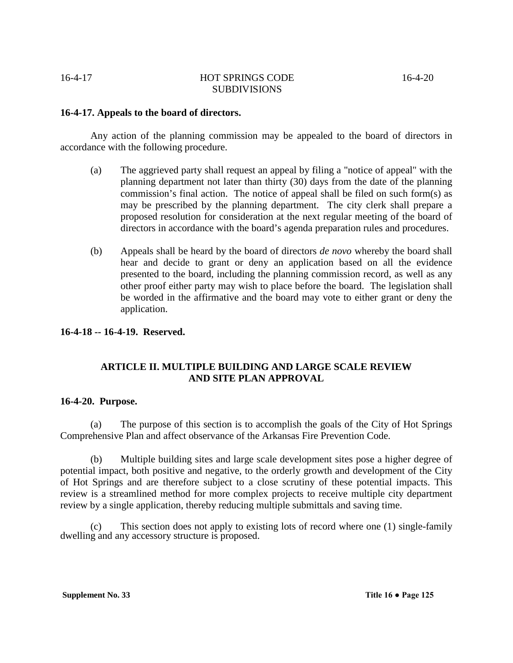#### **16-4-17. Appeals to the board of directors.**

Any action of the planning commission may be appealed to the board of directors in accordance with the following procedure.

- (a) The aggrieved party shall request an appeal by filing a "notice of appeal" with the planning department not later than thirty (30) days from the date of the planning commission's final action. The notice of appeal shall be filed on such form(s) as may be prescribed by the planning department. The city clerk shall prepare a proposed resolution for consideration at the next regular meeting of the board of directors in accordance with the board's agenda preparation rules and procedures.
- (b) Appeals shall be heard by the board of directors *de novo* whereby the board shall hear and decide to grant or deny an application based on all the evidence presented to the board, including the planning commission record, as well as any other proof either party may wish to place before the board. The legislation shall be worded in the affirmative and the board may vote to either grant or deny the application.

#### **16-4-18 -- 16-4-19. Reserved.**

## **ARTICLE II. MULTIPLE BUILDING AND LARGE SCALE REVIEW AND SITE PLAN APPROVAL**

#### **16-4-20. Purpose.**

(a) The purpose of this section is to accomplish the goals of the City of Hot Springs Comprehensive Plan and affect observance of the Arkansas Fire Prevention Code.

(b) Multiple building sites and large scale development sites pose a higher degree of potential impact, both positive and negative, to the orderly growth and development of the City of Hot Springs and are therefore subject to a close scrutiny of these potential impacts. This review is a streamlined method for more complex projects to receive multiple city department review by a single application, thereby reducing multiple submittals and saving time.

This section does not apply to existing lots of record where one  $(1)$  single-family dwelling and any accessory structure is proposed.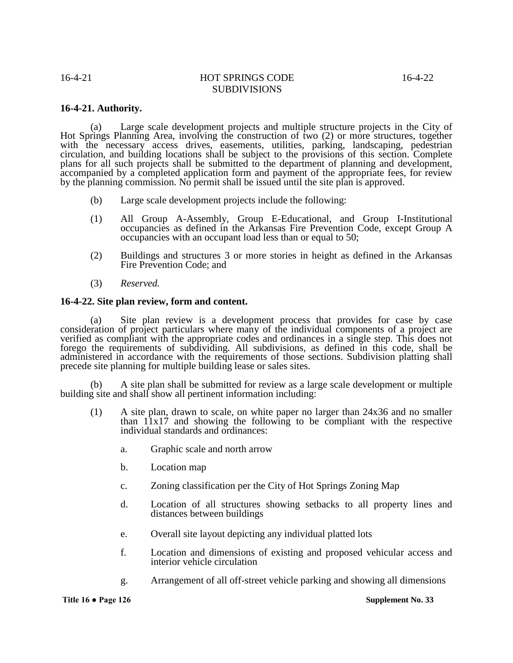#### **16-4-21. Authority.**

(a) Large scale development projects and multiple structure projects in the City of Hot Springs Planning Area, involving the construction of two (2) or more structures, together with the necessary access drives, easements, utilities, parking, landscaping, pedestrian circulation, and building locations shall be subject to the provisions of this section. Complete plans for all such projects shall be submitted to the department of planning and development, accompanied by a completed application form and payment of the appropriate fees, for review by the planning commission. No permit shall be issued until the site plan is approved.

- (b) Large scale development projects include the following:
- (1) All Group A-Assembly, Group E-Educational, and Group I-Institutional occupancies as defined in the Arkansas Fire Prevention Code, except Group A occupancies with an occupant load less than or equal to 50;
- (2) Buildings and structures 3 or more stories in height as defined in the Arkansas Fire Prevention Code; and
- (3) *Reserved.*

#### **16-4-22. Site plan review, form and content.**

(a) Site plan review is a development process that provides for case by case consideration of project particulars where many of the individual components of a project are verified as compliant with the appropriate codes and ordinances in a single step. This does not forego the requirements of subdividing. All subdivisions, as defined in this code, shall be administered in accordance with the requirements of those sections. Subdivision platting shall precede site planning for multiple building lease or sales sites.

A site plan shall be submitted for review as a large scale development or multiple building site and shall show all pertinent information including:

- (1) A site plan, drawn to scale, on white paper no larger than 24x36 and no smaller than  $11x17$  and showing the following to be compliant with the respective individual standards and ordinances:
	- a. Graphic scale and north arrow
	- b. Location map
	- c. Zoning classification per the City of Hot Springs Zoning Map
	- d. Location of all structures showing setbacks to all property lines and distances between buildings
	- e. Overall site layout depicting any individual platted lots
	- f. Location and dimensions of existing and proposed vehicular access and interior vehicle circulation
	- g. Arrangement of all off-street vehicle parking and showing all dimensions

**Title 16 ● Page 126 Supplement No. 33**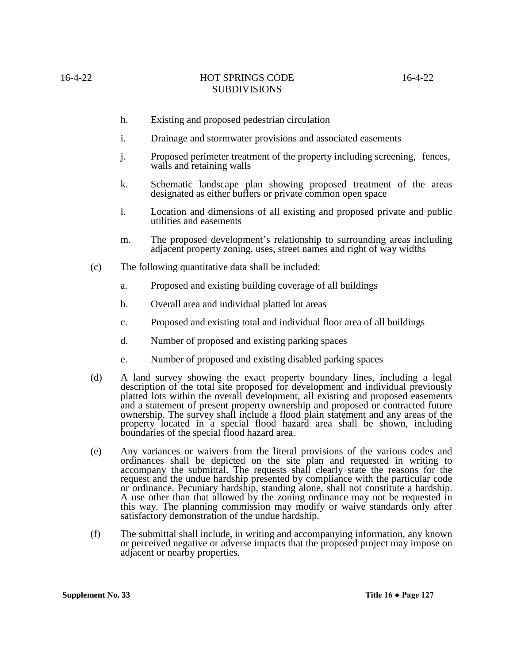- h. Existing and proposed pedestrian circulation
- i. Drainage and stormwater provisions and associated easements
- j. Proposed perimeter treatment of the property including screening, fences, walls and retaining walls
- k. Schematic landscape plan showing proposed treatment of the areas designated as either buffers or private common open space
- l. Location and dimensions of all existing and proposed private and public utilities and easements
- m. The proposed development's relationship to surrounding areas including adjacent property zoning, uses, street names and right of way widths
- (c) The following quantitative data shall be included:
	- a. Proposed and existing building coverage of all buildings
	- b. Overall area and individual platted lot areas
	- c. Proposed and existing total and individual floor area of all buildings
	- d. Number of proposed and existing parking spaces
	- e. Number of proposed and existing disabled parking spaces
- (d) A land survey showing the exact property boundary lines, including a legal description of the total site proposed for development and individual previously platted lots within the overall development, all existing and proposed easements and a statement of present property ownership and proposed or contracted future ownership. The survey shall include a flood plain statement and any areas of the property located in a special flood hazard area shall be shown, including boundaries of the special flood hazard area.
- (e) Any variances or waivers from the literal provisions of the various codes and ordinances shall be depicted on the site plan and requested in writing to accompany the submittal. The requests shall clearly state the reasons for the request and the undue hardship presented by compliance with the particular code or ordinance. Pecuniary hardship, standing alone, shall not constitute a hardship. A use other than that allowed by the zoning ordinance may not be requested in this way. The planning commission may modify or waive standards only after satisfactory demonstration of the undue hardship.
- (f) The submittal shall include, in writing and accompanying information, any known or perceived negative or adverse impacts that the proposed project may impose on adjacent or nearby properties.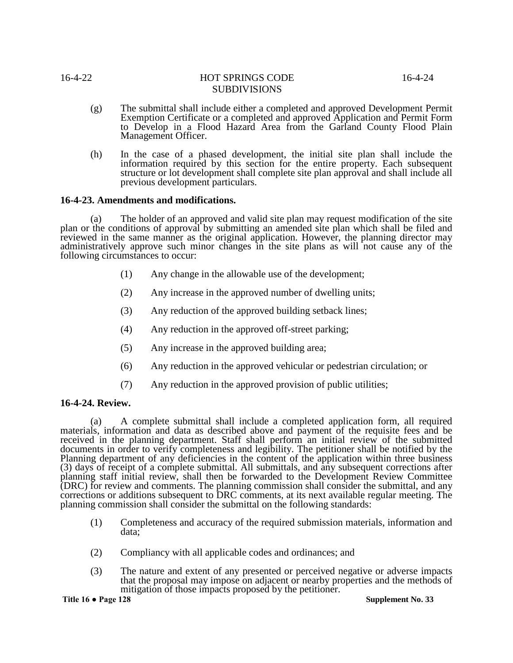- (g) The submittal shall include either a completed and approved Development Permit Exemption Certificate or a completed and approved Application and Permit Form to Develop in a Flood Hazard Area from the Garland County Flood Plain Management Officer.
- (h) In the case of a phased development, the initial site plan shall include the information required by this section for the entire property. Each subsequent structure or lot development shall complete site plan approval and shall include all previous development particulars.

#### **16-4-23. Amendments and modifications.**

(a) The holder of an approved and valid site plan may request modification of the site plan or the conditions of approval by submitting an amended site plan which shall be filed and reviewed in the same manner as the original application. However, the planning director may administratively approve such minor changes in the site plans as will not cause any of the following circumstances to occur:

- (1) Any change in the allowable use of the development;
- (2) Any increase in the approved number of dwelling units;
- (3) Any reduction of the approved building setback lines;
- (4) Any reduction in the approved off-street parking;
- (5) Any increase in the approved building area;
- (6) Any reduction in the approved vehicular or pedestrian circulation; or
- (7) Any reduction in the approved provision of public utilities;

#### **16-4-24. Review.**

(a) A complete submittal shall include a completed application form, all required materials, information and data as described above and payment of the requisite fees and be received in the planning department. Staff shall perform an initial review of the submitted documents in order to verify completeness and legibility. The petitioner shall be notified by the Planning department of any deficiencies in the content of the application within three business (3) days of receipt of a complete submittal. All submittals, and any subsequent corrections after planning staff initial review, shall then be forwarded to the Development Review Committee (DRC) for review and comments. The planning commission shall consider the submittal, and any corrections or additions subsequent to DRC comments, at its next available regular meeting. The planning commission shall consider the submittal on the following standards:

- (1) Completeness and accuracy of the required submission materials, information and data;
- (2) Compliancy with all applicable codes and ordinances; and
- (3) The nature and extent of any presented or perceived negative or adverse impacts that the proposal may impose on adjacent or nearby properties and the methods of mitigation of those impacts proposed by the petitioner.

#### **Title 16 ● Page 128 Supplement No. 33**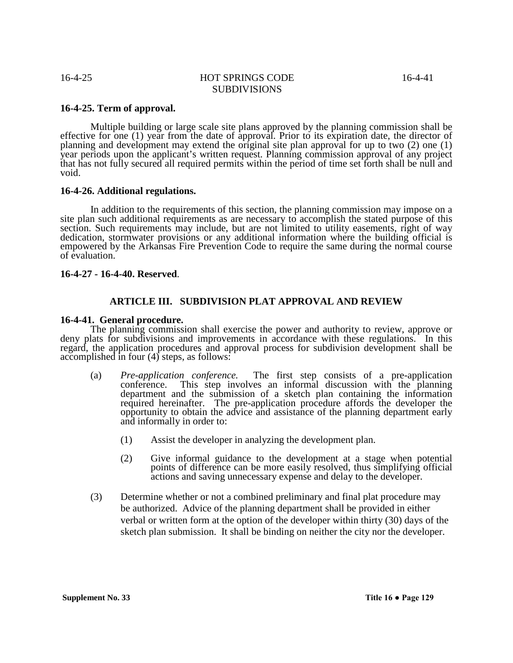#### **16-4-25. Term of approval.**

Multiple building or large scale site plans approved by the planning commission shall be effective for one (1) year from the date of approval. Prior to its expiration date, the director of planning and development may extend the original site plan approval for up to two (2) one (1) year periods upon the applicant's written request. Planning commission approval of any project that has not fully secured all required permits within the period of time set forth shall be null and void.

#### **16-4-26. Additional regulations.**

In addition to the requirements of this section, the planning commission may impose on a site plan such additional requirements as are necessary to accomplish the stated purpose of this section. Such requirements may include, but are not limited to utility easements, right of way dedication, stormwater provisions or any additional information where the building official is empowered by the Arkansas Fire Prevention Code to require the same during the normal course of evaluation.

#### **16-4-27 - 16-4-40. Reserved**.

#### **ARTICLE III. SUBDIVISION PLAT APPROVAL AND REVIEW**

#### **16-4-41. General procedure.**

The planning commission shall exercise the power and authority to review, approve or deny plats for subdivisions and improvements in accordance with these regulations. In this regard, the application procedures and approval process for subdivision development shall be accomplished in four (4) steps, as follows:

- (a) *Pre-application conference.* The first step consists of a pre-application conference. This step involves an informal discussion with the planning department and the submission of a sketch plan containing the information required hereinafter. The pre-application procedure affords the developer the opportunity to obtain the advice and assistance of the planning department early and informally in order to:
	- (1) Assist the developer in analyzing the development plan.
	- (2) Give informal guidance to the development at a stage when potential points of difference can be more easily resolved, thus simplifying official actions and saving unnecessary expense and delay to the developer.
- (3) Determine whether or not a combined preliminary and final plat procedure may be authorized. Advice of the planning department shall be provided in either verbal or written form at the option of the developer within thirty (30) days of the sketch plan submission. It shall be binding on neither the city nor the developer.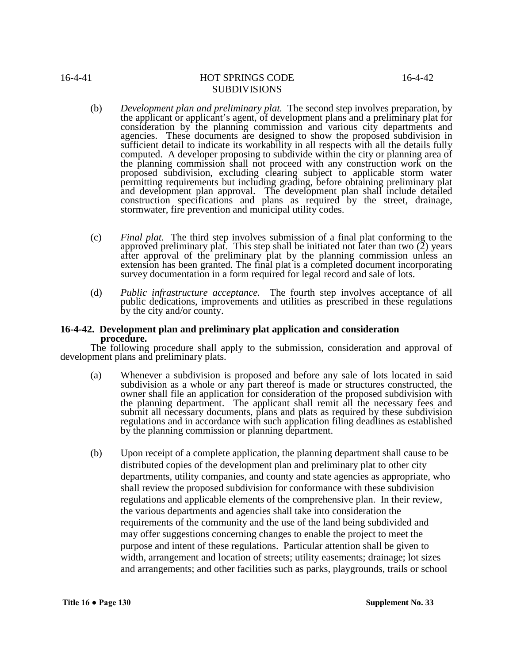- (b) *Development plan and preliminary plat.* The second step involves preparation, by the applicant or applicant's agent, of development plans and a preliminary plat for consideration by the planning commission and various city departments and agencies. These documents are designed to show the proposed subdivision in sufficient detail to indicate its workability in all respects with all the details fully computed. A developer proposing to subdivide within the city or planning area of the planning commission shall not proceed with any construction work on the proposed subdivision, excluding clearing subject to applicable storm water permitting requirements but including grading, before obtaining preliminary plat and development plan approval. The development plan shall include detailed construction specifications and plans as required by the street, drainage, stormwater, fire prevention and municipal utility codes.
- (c) *Final plat.* The third step involves submission of a final plat conforming to the approved preliminary plat. This step shall be initiated not later than two (2) years after approval of the preliminary plat by the planning commission unless an extension has been granted. The final plat is a completed document incorporating survey documentation in a form required for legal record and sale of lots.
- (d) *Public infrastructure acceptance.* The fourth step involves acceptance of all public dedications, improvements and utilities as prescribed in these regulations by the city and/or county.

# **16-4-42. Development plan and preliminary plat application and consideration procedure.**

The following procedure shall apply to the submission, consideration and approval of development plans and preliminary plats.

- (a) Whenever a subdivision is proposed and before any sale of lots located in said subdivision as a whole or any part thereof is made or structures constructed, the owner shall file an application for consideration of the proposed subdivision with the planning department. The applicant shall remit all the necessary fees and submit all necessary documents, plans and plats as required by these subdivision regulations and in accordance with such application filing deadlines as established by the planning commission or planning department.
- (b) Upon receipt of a complete application, the planning department shall cause to be distributed copies of the development plan and preliminary plat to other city departments, utility companies, and county and state agencies as appropriate, who shall review the proposed subdivision for conformance with these subdivision regulations and applicable elements of the comprehensive plan. In their review, the various departments and agencies shall take into consideration the requirements of the community and the use of the land being subdivided and may offer suggestions concerning changes to enable the project to meet the purpose and intent of these regulations. Particular attention shall be given to width, arrangement and location of streets; utility easements; drainage; lot sizes and arrangements; and other facilities such as parks, playgrounds, trails or school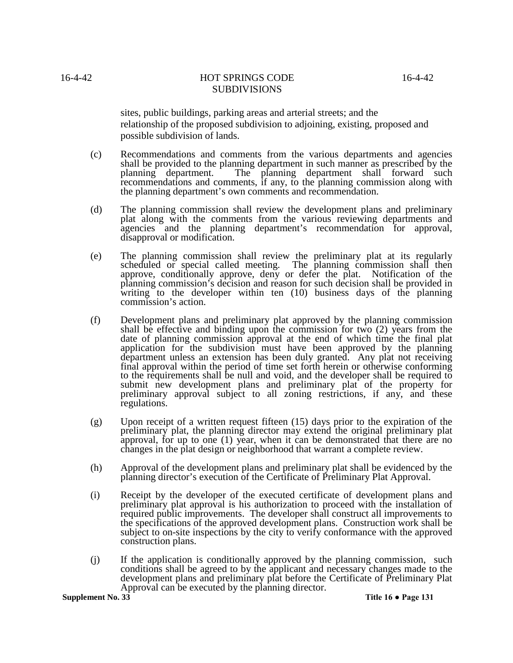sites, public buildings, parking areas and arterial streets; and the relationship of the proposed subdivision to adjoining, existing, proposed and possible subdivision of lands.

- (c) Recommendations and comments from the various departments and agencies shall be provided to the planning department in such manner as prescribed by the planning department. The planning department shall forward such recommendations and comments, if any, to the planning commission along with the planning department's own comments and recommendation.
- (d) The planning commission shall review the development plans and preliminary plat along with the comments from the various reviewing departments and agencies and the planning department's recommendation for approval, disapproval or modification.
- (e) The planning commission shall review the preliminary plat at its regularly scheduled or special called meeting. The planning commission shall then approve, conditionally approve, deny or defer the plat. Notification of the planning commission's decision and reason for such decision shall be provided in writing to the developer within ten (10) business days of the planning commission's action.
- (f) Development plans and preliminary plat approved by the planning commission shall be effective and binding upon the commission for two (2) years from the date of planning commission approval at the end of which time the final plat application for the subdivision must have been approved by the planning department unless an extension has been duly granted. Any plat not receiving final approval within the period of time set forth herein or otherwise conforming to the requirements shall be null and void, and the developer shall be required to submit new development plans and preliminary plat of the property for preliminary approval subject to all zoning restrictions, if any, and these regulations.
- (g) Upon receipt of a written request fifteen (15) days prior to the expiration of the preliminary plat, the planning director may extend the original preliminary plat approval, for up to one (1) year, when it can be demonstrated that there are no changes in the plat design or neighborhood that warrant a complete review.
- (h) Approval of the development plans and preliminary plat shall be evidenced by the planning director's execution of the Certificate of Preliminary Plat Approval.
- (i) Receipt by the developer of the executed certificate of development plans and preliminary plat approval is his authorization to proceed with the installation of required public improvements. The developer shall construct all improvements to the specifications of the approved development plans. Construction work shall be subject to on-site inspections by the city to verify conformance with the approved construction plans.
- (j) If the application is conditionally approved by the planning commission, such conditions shall be agreed to by the applicant and necessary changes made to the development plans and preliminary plat before the Certificate of Preliminary Plat Approval can be executed by the planning director.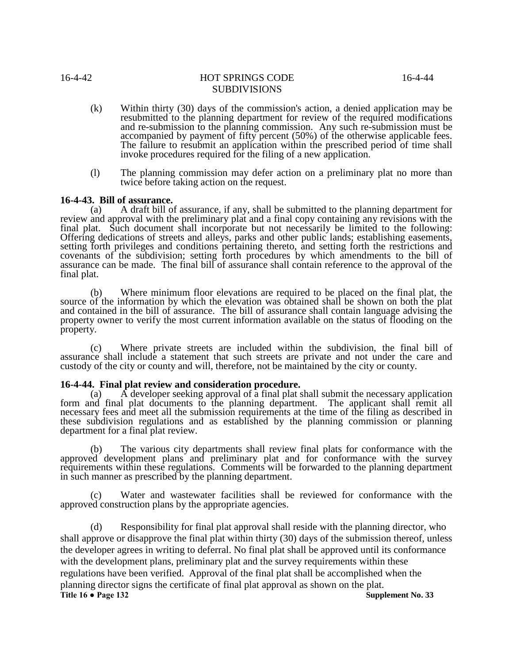- (k) Within thirty (30) days of the commission's action, a denied application may be resubmitted to the planning department for review of the required modifications and re-submission to the planning commission. Any such re-submission must be accompanied by payment of fifty percent (50%) of the otherwise applicable fees. The failure to resubmit an application within the prescribed period of time shall invoke procedures required for the filing of a new application.
- (l) The planning commission may defer action on a preliminary plat no more than twice before taking action on the request.

#### **16-4-43. Bill of assurance.**

A draft bill of assurance, if any, shall be submitted to the planning department for review and approval with the preliminary plat and a final copy containing any revisions with the final plat. Such document shall incorporate but not necessarily be limited to the following: Offering dedications of streets and alleys, parks and other public lands; establishing easements, setting forth privileges and conditions pertaining thereto, and setting forth the restrictions and covenants of the subdivision; setting forth procedures by which amendments to the bill of assurance can be made. The final bill of assurance shall contain reference to the approval of the final plat.

(b) Where minimum floor elevations are required to be placed on the final plat, the source of the information by which the elevation was obtained shall be shown on both the plat and contained in the bill of assurance. The bill of assurance shall contain language advising the property owner to verify the most current information available on the status of flooding on the property.

(c) Where private streets are included within the subdivision, the final bill of assurance shall include a statement that such streets are private and not under the care and custody of the city or county and will, therefore, not be maintained by the city or county.

#### **16-4-44. Final plat review and consideration procedure.**

(a)  $\overline{A}$  developer seeking approval of a final plat shall submit the necessary application form and final plat documents to the planning department. The applicant shall remit all necessary fees and meet all the submission requirements at the time of the filing as described in these subdivision regulations and as established by the planning commission or planning department for a final plat review.

(b) The various city departments shall review final plats for conformance with the approved development plans and preliminary plat and for conformance with the survey requirements within these regulations. Comments will be forwarded to the planning department in such manner as prescribed by the planning department.

(c) Water and wastewater facilities shall be reviewed for conformance with the approved construction plans by the appropriate agencies.

(d) Responsibility for final plat approval shall reside with the planning director, who shall approve or disapprove the final plat within thirty (30) days of the submission thereof, unless the developer agrees in writing to deferral. No final plat shall be approved until its conformance with the development plans, preliminary plat and the survey requirements within these regulations have been verified. Approval of the final plat shall be accomplished when the planning director signs the certificate of final plat approval as shown on the plat.<br>Title 16 • Page 132 Supplement No. 33 **Title 16 ● Page 132**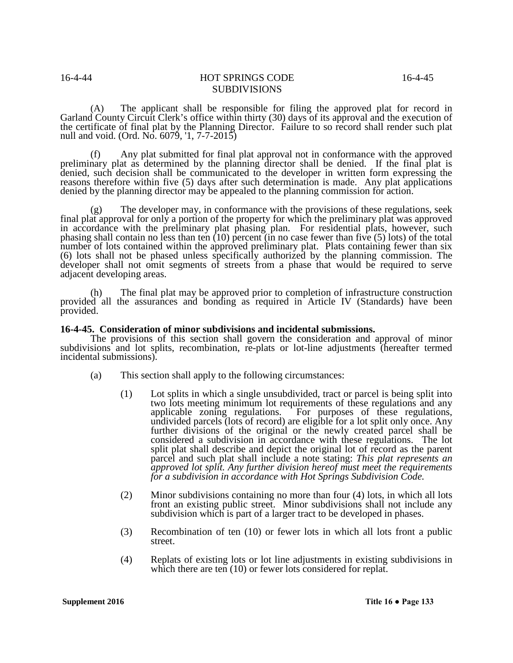(A) The applicant shall be responsible for filing the approved plat for record in Garland County Circuit Clerk's office within thirty (30) days of its approval and the execution of the certificate of final plat by the Planning Director. Failure to so record shall render such plat null and void. (Ord. No. 6079, '1, 7-7-2015)

(f) Any plat submitted for final plat approval not in conformance with the approved preliminary plat as determined by the planning director shall be denied. If the final plat is denied, such decision shall be communicated to the developer in written form expressing the reasons therefore within five (5) days after such determination is made. Any plat applications denied by the planning director may be appealed to the planning commission for action.

The developer may, in conformance with the provisions of these regulations, seek final plat approval for only a portion of the property for which the preliminary plat was approved in accordance with the preliminary plat phasing plan. For residential plats, however, such phasing shall contain no less than ten (10) percent (in no case fewer than five (5) lots) of the total number of lots contained within the approved preliminary plat. Plats containing fewer than six (6) lots shall not be phased unless specifically authorized by the planning commission. The developer shall not omit segments of streets from a phase that would be required to serve adjacent developing areas.

(h) The final plat may be approved prior to completion of infrastructure construction provided all the assurances and bonding as required in Article IV (Standards) have been provided.

#### **16-4-45. Consideration of minor subdivisions and incidental submissions.**

The provisions of this section shall govern the consideration and approval of minor subdivisions and lot splits, recombination, re-plats or lot-line adjustments (hereafter termed incidental submissions).

- (a) This section shall apply to the following circumstances:
	- (1) Lot splits in which a single unsubdivided, tract or parcel is being split into two lots meeting minimum lot requirements of these regulations and any applicable zoning regulations. For purposes of these regulations, undivided parcels (lots of record) are eligible for a lot split only once. Any further divisions of the original or the newly created parcel shall be considered a subdivision in accordance with these regulations. The lot split plat shall describe and depict the original lot of record as the parent parcel and such plat shall include a note stating: *This plat represents an approved lot split. Any further division hereof must meet the requirements for a subdivision in accordance with Hot Springs Subdivision Code.*
	- (2) Minor subdivisions containing no more than four (4) lots, in which all lots front an existing public street. Minor subdivisions shall not include any subdivision which is part of a larger tract to be developed in phases.
	- (3) Recombination of ten (10) or fewer lots in which all lots front a public street.
	- (4) Replats of existing lots or lot line adjustments in existing subdivisions in which there are ten  $(10)$  or fewer lots considered for replat.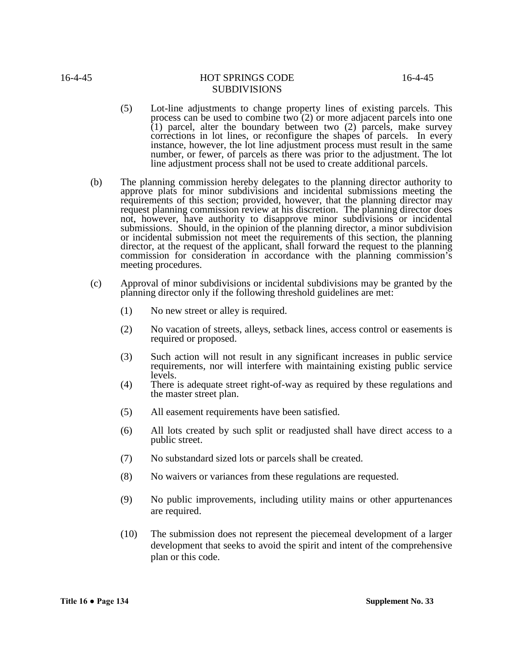- (5) Lot-line adjustments to change property lines of existing parcels. This process can be used to combine two (2) or more adjacent parcels into one (1) parcel, alter the boundary between two (2) parcels, make survey corrections in lot lines, or reconfigure the shapes of parcels. In every instance, however, the lot line adjustment process must result in the same number, or fewer, of parcels as there was prior to the adjustment. The lot line adjustment process shall not be used to create additional parcels.
- (b) The planning commission hereby delegates to the planning director authority to approve plats for minor subdivisions and incidental submissions meeting the requirements of this section; provided, however, that the planning director may request planning commission review at his discretion. The planning director does not, however, have authority to disapprove minor subdivisions or incidental submissions. Should, in the opinion of the planning director, a minor subdivision or incidental submission not meet the requirements of this section, the planning director, at the request of the applicant, shall forward the request to the planning commission for consideration in accordance with the planning commission's meeting procedures.
- (c) Approval of minor subdivisions or incidental subdivisions may be granted by the planning director only if the following threshold guidelines are met:
	- (1) No new street or alley is required.
	- (2) No vacation of streets, alleys, setback lines, access control or easements is required or proposed.
	- (3) Such action will not result in any significant increases in public service requirements, nor will interfere with maintaining existing public service levels.
	- (4) There is adequate street right-of-way as required by these regulations and the master street plan.
	- (5) All easement requirements have been satisfied.
	- (6) All lots created by such split or readjusted shall have direct access to a public street.
	- (7) No substandard sized lots or parcels shall be created.
	- (8) No waivers or variances from these regulations are requested.
	- (9) No public improvements, including utility mains or other appurtenances are required.
	- (10) The submission does not represent the piecemeal development of a larger development that seeks to avoid the spirit and intent of the comprehensive plan or this code.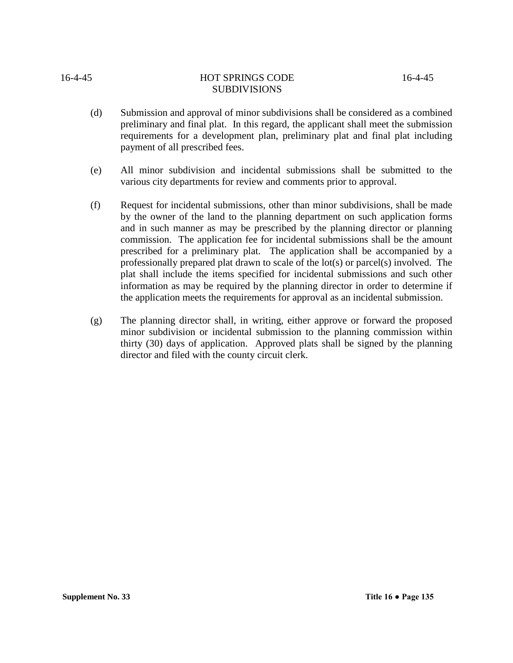#### **Supplement No. 33 Title 16 ● Page 135**

# 16-4-45 HOT SPRINGS CODE 16-4-45

SUBDIVISIONS

- (d) Submission and approval of minor subdivisions shall be considered as a combined preliminary and final plat. In this regard, the applicant shall meet the submission requirements for a development plan, preliminary plat and final plat including payment of all prescribed fees.
- (e) All minor subdivision and incidental submissions shall be submitted to the various city departments for review and comments prior to approval.
- (f) Request for incidental submissions, other than minor subdivisions, shall be made by the owner of the land to the planning department on such application forms and in such manner as may be prescribed by the planning director or planning commission. The application fee for incidental submissions shall be the amount prescribed for a preliminary plat. The application shall be accompanied by a professionally prepared plat drawn to scale of the lot(s) or parcel(s) involved. The plat shall include the items specified for incidental submissions and such other information as may be required by the planning director in order to determine if the application meets the requirements for approval as an incidental submission.
- (g) The planning director shall, in writing, either approve or forward the proposed minor subdivision or incidental submission to the planning commission within thirty (30) days of application. Approved plats shall be signed by the planning director and filed with the county circuit clerk.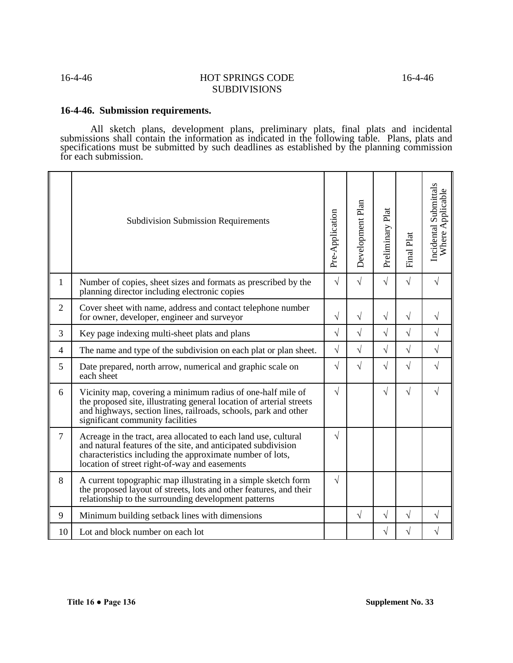## **16-4-46. Submission requirements.**

All sketch plans, development plans, preliminary plats, final plats and incidental submissions shall contain the information as indicated in the following table. Plans, plats and specifications must be submitted by such deadlines as established by the planning commission for each submission.

|                | <b>Subdivision Submission Requirements</b>                                                                                                                                                                                                     | Pre-Application | Development Plan | Preliminary Plat | Final Plat | Incidental Submittals<br>Where Applicable |
|----------------|------------------------------------------------------------------------------------------------------------------------------------------------------------------------------------------------------------------------------------------------|-----------------|------------------|------------------|------------|-------------------------------------------|
| 1              | Number of copies, sheet sizes and formats as prescribed by the<br>planning director including electronic copies                                                                                                                                | $\sqrt{}$       | $\sqrt{2}$       | $\sqrt{}$        | $\sqrt{ }$ | $\sqrt{}$                                 |
| $\overline{2}$ | Cover sheet with name, address and contact telephone number<br>for owner, developer, engineer and surveyor                                                                                                                                     | $\sqrt{}$       | $\sqrt{}$        | $\sqrt{}$        | $\sqrt{ }$ | $\sqrt{}$                                 |
| 3              | Key page indexing multi-sheet plats and plans                                                                                                                                                                                                  | $\sqrt{}$       | $\sqrt{2}$       | $\sqrt{}$        | $\sqrt{ }$ | $\sqrt{}$                                 |
| $\overline{4}$ | The name and type of the subdivision on each plat or plan sheet.                                                                                                                                                                               | $\sqrt{ }$      | $\sqrt{ }$       | $\sqrt{2}$       | $\sqrt{ }$ | $\sqrt{}$                                 |
| 5              | Date prepared, north arrow, numerical and graphic scale on<br>each sheet                                                                                                                                                                       | $\sqrt{}$       | $\sqrt{2}$       | $\sqrt{}$        | $\sqrt{ }$ | $\sqrt{}$                                 |
| 6              | Vicinity map, covering a minimum radius of one-half mile of<br>the proposed site, illustrating general location of arterial streets<br>and highways, section lines, railroads, schools, park and other<br>significant community facilities     | $\sqrt{}$       |                  | $\sqrt{}$        | $\sqrt{ }$ | $\sqrt{}$                                 |
| $\overline{7}$ | Acreage in the tract, area allocated to each land use, cultural<br>and natural features of the site, and anticipated subdivision<br>characteristics including the approximate number of lots,<br>location of street right-of-way and easements | $\sqrt{ }$      |                  |                  |            |                                           |
| 8              | A current topographic map illustrating in a simple sketch form<br>the proposed layout of streets, lots and other features, and their<br>relationship to the surrounding development patterns                                                   | $\sqrt{}$       |                  |                  |            |                                           |
| 9              | Minimum building setback lines with dimensions                                                                                                                                                                                                 |                 | $\sqrt{ }$       | $\sqrt{}$        | $\sqrt{ }$ | $\sqrt{}$                                 |
| 10             | Lot and block number on each lot                                                                                                                                                                                                               |                 |                  | $\sqrt{}$        | $\sqrt{}$  | $\sqrt{}$                                 |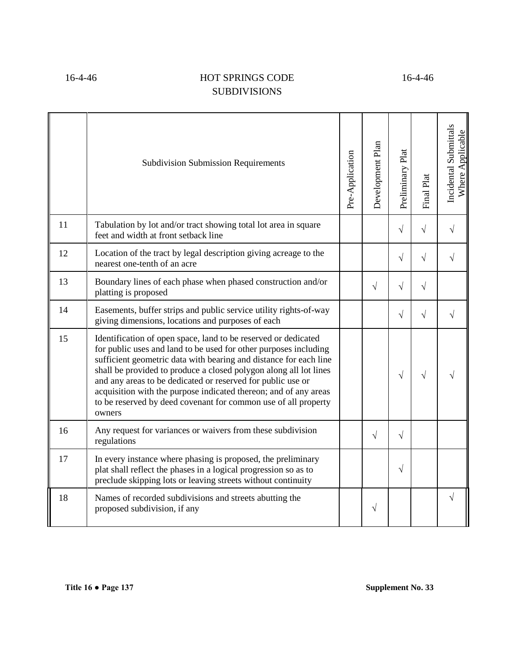|    | <b>Subdivision Submission Requirements</b>                                                                                                                                                                                                                                                                                                                                                                                                                                                  | Pre-Application | Development Plan | Preliminary Plat | Final Plat | Incidental Submittals<br>Where Applicable |
|----|---------------------------------------------------------------------------------------------------------------------------------------------------------------------------------------------------------------------------------------------------------------------------------------------------------------------------------------------------------------------------------------------------------------------------------------------------------------------------------------------|-----------------|------------------|------------------|------------|-------------------------------------------|
| 11 | Tabulation by lot and/or tract showing total lot area in square<br>feet and width at front setback line                                                                                                                                                                                                                                                                                                                                                                                     |                 |                  | $\sqrt{ }$       | $\sqrt{ }$ | $\sqrt{}$                                 |
| 12 | Location of the tract by legal description giving acreage to the<br>nearest one-tenth of an acre                                                                                                                                                                                                                                                                                                                                                                                            |                 |                  | $\sqrt{}$        | $\sqrt{ }$ |                                           |
| 13 | Boundary lines of each phase when phased construction and/or<br>platting is proposed                                                                                                                                                                                                                                                                                                                                                                                                        |                 | $\sqrt{}$        | $\sqrt{}$        | $\sqrt{ }$ |                                           |
| 14 | Easements, buffer strips and public service utility rights-of-way<br>giving dimensions, locations and purposes of each                                                                                                                                                                                                                                                                                                                                                                      |                 |                  | $\sqrt{}$        | $\sqrt{}$  |                                           |
| 15 | Identification of open space, land to be reserved or dedicated<br>for public uses and land to be used for other purposes including<br>sufficient geometric data with bearing and distance for each line<br>shall be provided to produce a closed polygon along all lot lines<br>and any areas to be dedicated or reserved for public use or<br>acquisition with the purpose indicated thereon; and of any areas<br>to be reserved by deed covenant for common use of all property<br>owners |                 |                  | $\sqrt{ }$       | $\sqrt{ }$ |                                           |
| 16 | Any request for variances or waivers from these subdivision<br>regulations                                                                                                                                                                                                                                                                                                                                                                                                                  |                 | $\sqrt{}$        | $\sqrt{}$        |            |                                           |
| 17 | In every instance where phasing is proposed, the preliminary<br>plat shall reflect the phases in a logical progression so as to<br>preclude skipping lots or leaving streets without continuity                                                                                                                                                                                                                                                                                             |                 |                  | $\sqrt{ }$       |            |                                           |
| 18 | Names of recorded subdivisions and streets abutting the<br>proposed subdivision, if any                                                                                                                                                                                                                                                                                                                                                                                                     |                 | V                |                  |            | $\sqrt{}$                                 |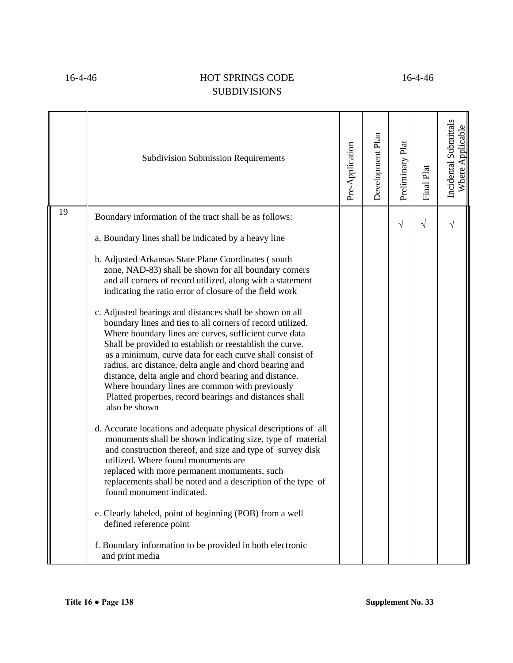|    | <b>Subdivision Submission Requirements</b>                                                                                                                                                                                                                                                                                                                                                                                                                                                                                                                                                                                                                                                                                                                                                                                                                                                                                                                                                                                                                                                                                                                                                                                                                                                                                                                                                       | Pre-Application | Development Plan | Preliminary Plat | Final Plat | Incidental Submittals<br>Where Applicable |
|----|--------------------------------------------------------------------------------------------------------------------------------------------------------------------------------------------------------------------------------------------------------------------------------------------------------------------------------------------------------------------------------------------------------------------------------------------------------------------------------------------------------------------------------------------------------------------------------------------------------------------------------------------------------------------------------------------------------------------------------------------------------------------------------------------------------------------------------------------------------------------------------------------------------------------------------------------------------------------------------------------------------------------------------------------------------------------------------------------------------------------------------------------------------------------------------------------------------------------------------------------------------------------------------------------------------------------------------------------------------------------------------------------------|-----------------|------------------|------------------|------------|-------------------------------------------|
| 19 | Boundary information of the tract shall be as follows:<br>a. Boundary lines shall be indicated by a heavy line<br>b. Adjusted Arkansas State Plane Coordinates (south<br>zone, NAD-83) shall be shown for all boundary corners<br>and all corners of record utilized, along with a statement<br>indicating the ratio error of closure of the field work<br>c. Adjusted bearings and distances shall be shown on all<br>boundary lines and ties to all corners of record utilized.<br>Where boundary lines are curves, sufficient curve data<br>Shall be provided to establish or reestablish the curve.<br>as a minimum, curve data for each curve shall consist of<br>radius, arc distance, delta angle and chord bearing and<br>distance, delta angle and chord bearing and distance.<br>Where boundary lines are common with previously<br>Platted properties, record bearings and distances shall<br>also be shown<br>d. Accurate locations and adequate physical descriptions of all<br>monuments shall be shown indicating size, type of material<br>and construction thereof, and size and type of survey disk<br>utilized. Where found monuments are<br>replaced with more permanent monuments, such<br>replacements shall be noted and a description of the type of<br>found monument indicated.<br>e. Clearly labeled, point of beginning (POB) from a well<br>defined reference point |                 |                  | $\sqrt{}$        | $\sqrt{}$  |                                           |
|    | f. Boundary information to be provided in both electronic<br>and print media                                                                                                                                                                                                                                                                                                                                                                                                                                                                                                                                                                                                                                                                                                                                                                                                                                                                                                                                                                                                                                                                                                                                                                                                                                                                                                                     |                 |                  |                  |            |                                           |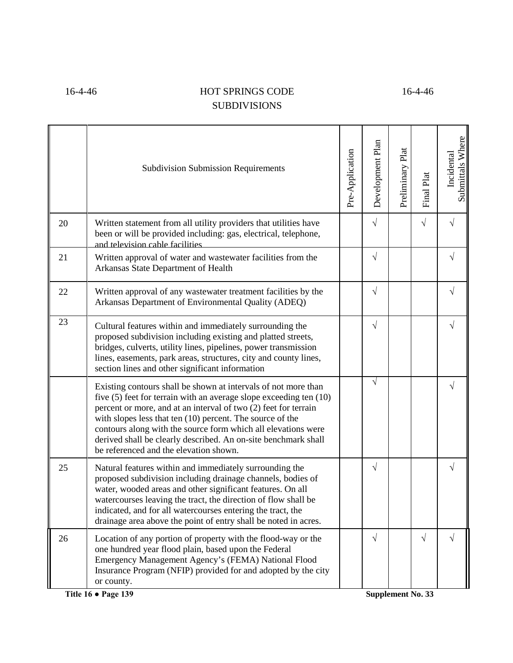|    | <b>Subdivision Submission Requirements</b>                                                                                                                                                                                                                                                                                                                                                                                                          | Pre-Application | Development Plan | Preliminary Plat | Final Plat | Submittals Where<br>Incidental |
|----|-----------------------------------------------------------------------------------------------------------------------------------------------------------------------------------------------------------------------------------------------------------------------------------------------------------------------------------------------------------------------------------------------------------------------------------------------------|-----------------|------------------|------------------|------------|--------------------------------|
| 20 | Written statement from all utility providers that utilities have<br>been or will be provided including: gas, electrical, telephone,<br>and television cable facilities                                                                                                                                                                                                                                                                              |                 | $\sqrt{}$        |                  | $\sqrt{ }$ | $\sqrt{}$                      |
| 21 | Written approval of water and wastewater facilities from the<br>Arkansas State Department of Health                                                                                                                                                                                                                                                                                                                                                 |                 | $\sqrt{}$        |                  |            | $\sqrt{}$                      |
| 22 | Written approval of any wastewater treatment facilities by the<br>Arkansas Department of Environmental Quality (ADEQ)                                                                                                                                                                                                                                                                                                                               |                 | $\sqrt{}$        |                  |            | $\sqrt{}$                      |
| 23 | Cultural features within and immediately surrounding the<br>proposed subdivision including existing and platted streets,<br>bridges, culverts, utility lines, pipelines, power transmission<br>lines, easements, park areas, structures, city and county lines,<br>section lines and other significant information                                                                                                                                  |                 | $\sqrt{}$        |                  |            | $\sqrt{}$                      |
|    | Existing contours shall be shown at intervals of not more than<br>five (5) feet for terrain with an average slope exceeding ten (10)<br>percent or more, and at an interval of two (2) feet for terrain<br>with slopes less that ten $(10)$ percent. The source of the<br>contours along with the source form which all elevations were<br>derived shall be clearly described. An on-site benchmark shall<br>be referenced and the elevation shown. |                 | $\sqrt{}$        |                  |            | V                              |
| 25 | Natural features within and immediately surrounding the<br>proposed subdivision including drainage channels, bodies of<br>water, wooded areas and other significant features. On all<br>watercourses leaving the tract, the direction of flow shall be<br>indicated, and for all watercourses entering the tract, the<br>drainage area above the point of entry shall be noted in acres.                                                            |                 | $\sqrt{ }$       |                  |            | $\sqrt{}$                      |
| 26 | Location of any portion of property with the flood-way or the<br>one hundred year flood plain, based upon the Federal<br>Emergency Management Agency's (FEMA) National Flood<br>Insurance Program (NFIP) provided for and adopted by the city<br>or county.                                                                                                                                                                                         |                 | $\sqrt{ }$       |                  | $\sqrt{ }$ | $\sqrt{}$                      |

**Title 16 ● Page 139 Supplement No. 33**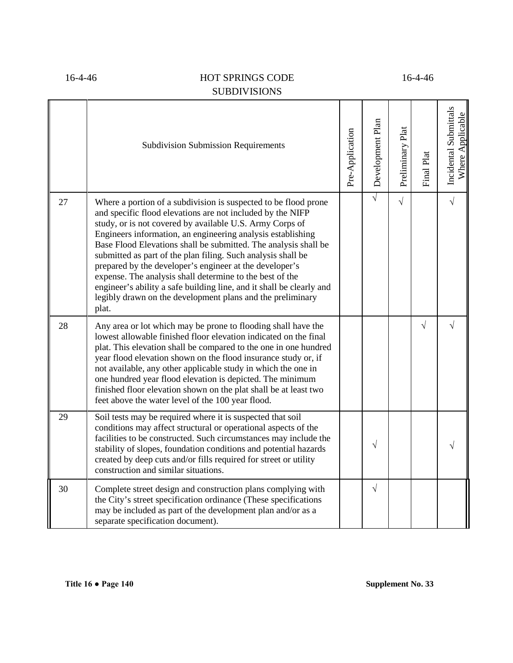|    | <b>Subdivision Submission Requirements</b>                                                                                                                                                                                                                                                                                                                                                                                                                                                                                                                                                                                                                        | Pre-Application | Development Plan | Preliminary Plat | Final Plat | Incidental Submittals<br>Where Applicable |
|----|-------------------------------------------------------------------------------------------------------------------------------------------------------------------------------------------------------------------------------------------------------------------------------------------------------------------------------------------------------------------------------------------------------------------------------------------------------------------------------------------------------------------------------------------------------------------------------------------------------------------------------------------------------------------|-----------------|------------------|------------------|------------|-------------------------------------------|
| 27 | Where a portion of a subdivision is suspected to be flood prone<br>and specific flood elevations are not included by the NIFP<br>study, or is not covered by available U.S. Army Corps of<br>Engineers information, an engineering analysis establishing<br>Base Flood Elevations shall be submitted. The analysis shall be<br>submitted as part of the plan filing. Such analysis shall be<br>prepared by the developer's engineer at the developer's<br>expense. The analysis shall determine to the best of the<br>engineer's ability a safe building line, and it shall be clearly and<br>legibly drawn on the development plans and the preliminary<br>plat. |                 | $\sqrt{}$        | $\sqrt{}$        |            | $\sqrt{ }$                                |
| 28 | Any area or lot which may be prone to flooding shall have the<br>lowest allowable finished floor elevation indicated on the final<br>plat. This elevation shall be compared to the one in one hundred<br>year flood elevation shown on the flood insurance study or, if<br>not available, any other applicable study in which the one in<br>one hundred year flood elevation is depicted. The minimum<br>finished floor elevation shown on the plat shall be at least two<br>feet above the water level of the 100 year flood.                                                                                                                                    |                 |                  |                  | $\sqrt{}$  | $\sqrt{}$                                 |
| 29 | Soil tests may be required where it is suspected that soil<br>conditions may affect structural or operational aspects of the<br>facilities to be constructed. Such circumstances may include the<br>stability of slopes, foundation conditions and potential hazards<br>created by deep cuts and/or fills required for street or utility<br>construction and similar situations.                                                                                                                                                                                                                                                                                  |                 | $\sqrt{}$        |                  |            |                                           |
| 30 | Complete street design and construction plans complying with<br>the City's street specification ordinance (These specifications<br>may be included as part of the development plan and/or as a<br>separate specification document).                                                                                                                                                                                                                                                                                                                                                                                                                               |                 | $\sqrt{}$        |                  |            |                                           |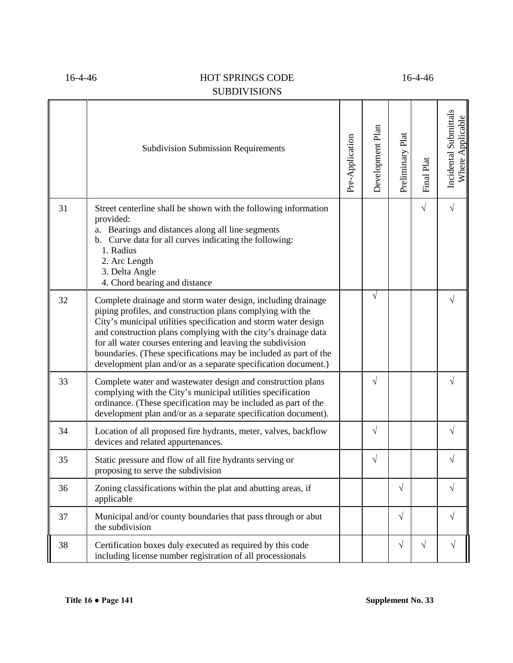|    | <b>Subdivision Submission Requirements</b>                                                                                                                                                                                                                                                                                                                                                                                                                          | Pre-Application | Development Plan | Preliminary Plat | Final Plat | Incidental Submittals<br>Where Applicable |
|----|---------------------------------------------------------------------------------------------------------------------------------------------------------------------------------------------------------------------------------------------------------------------------------------------------------------------------------------------------------------------------------------------------------------------------------------------------------------------|-----------------|------------------|------------------|------------|-------------------------------------------|
| 31 | Street centerline shall be shown with the following information<br>provided:<br>a. Bearings and distances along all line segments<br>b. Curve data for all curves indicating the following:<br>1. Radius<br>2. Arc Length<br>3. Delta Angle<br>4. Chord bearing and distance                                                                                                                                                                                        |                 |                  |                  | $\sqrt{ }$ | $\sqrt{}$                                 |
| 32 | Complete drainage and storm water design, including drainage<br>piping profiles, and construction plans complying with the<br>City's municipal utilities specification and storm water design<br>and construction plans complying with the city's drainage data<br>for all water courses entering and leaving the subdivision<br>boundaries. (These specifications may be included as part of the<br>development plan and/or as a separate specification document.) |                 | $\sqrt{}$        |                  |            | $\sqrt{}$                                 |
| 33 | Complete water and wastewater design and construction plans<br>complying with the City's municipal utilities specification<br>ordinance. (These specification may be included as part of the<br>development plan and/or as a separate specification document).                                                                                                                                                                                                      |                 | $\sqrt{}$        |                  |            | V                                         |
| 34 | Location of all proposed fire hydrants, meter, valves, backflow<br>devices and related appurtenances.                                                                                                                                                                                                                                                                                                                                                               |                 | $\sqrt{ }$       |                  |            | $\sqrt{}$                                 |
| 35 | Static pressure and flow of all fire hydrants serving or<br>proposing to serve the subdivision                                                                                                                                                                                                                                                                                                                                                                      |                 | V                |                  |            | $\sqrt{}$                                 |
| 36 | Zoning classifications within the plat and abutting areas, if<br>applicable                                                                                                                                                                                                                                                                                                                                                                                         |                 |                  | V                |            | V                                         |
| 37 | Municipal and/or county boundaries that pass through or abut<br>the subdivision                                                                                                                                                                                                                                                                                                                                                                                     |                 |                  | $\sqrt{}$        |            | $\sqrt{}$                                 |
| 38 | Certification boxes duly executed as required by this code<br>including license number registration of all processionals                                                                                                                                                                                                                                                                                                                                            |                 |                  | $\sqrt{}$        | $\sqrt{}$  | $\sqrt{}$                                 |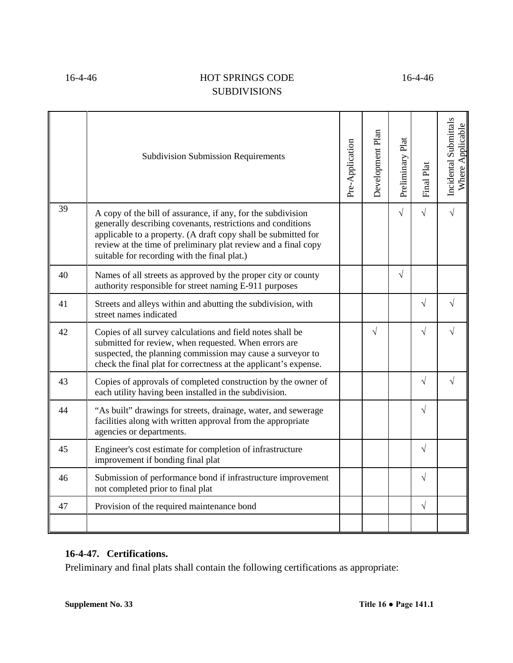|    | <b>Subdivision Submission Requirements</b>                                                                                                                                                                                                                                                                      | Pre-Application | Development Plan | Preliminary Plat | Final Plat | Incidental Submittals<br>Where Applicable |
|----|-----------------------------------------------------------------------------------------------------------------------------------------------------------------------------------------------------------------------------------------------------------------------------------------------------------------|-----------------|------------------|------------------|------------|-------------------------------------------|
| 39 | A copy of the bill of assurance, if any, for the subdivision<br>generally describing covenants, restrictions and conditions<br>applicable to a property. (A draft copy shall be submitted for<br>review at the time of preliminary plat review and a final copy<br>suitable for recording with the final plat.) |                 |                  | $\sqrt{ }$       | $\sqrt{}$  | $\sqrt{}$                                 |
| 40 | Names of all streets as approved by the proper city or county<br>authority responsible for street naming E-911 purposes                                                                                                                                                                                         |                 |                  | $\sqrt{}$        |            |                                           |
| 41 | Streets and alleys within and abutting the subdivision, with<br>street names indicated                                                                                                                                                                                                                          |                 |                  |                  | $\sqrt{}$  | J                                         |
| 42 | Copies of all survey calculations and field notes shall be<br>submitted for review, when requested. When errors are<br>suspected, the planning commission may cause a surveyor to<br>check the final plat for correctness at the applicant's expense.                                                           |                 | $\sqrt{}$        |                  | $\sqrt{}$  |                                           |
| 43 | Copies of approvals of completed construction by the owner of<br>each utility having been installed in the subdivision.                                                                                                                                                                                         |                 |                  |                  | $\sqrt{ }$ | $\sqrt{}$                                 |
| 44 | "As built" drawings for streets, drainage, water, and sewerage<br>facilities along with written approval from the appropriate<br>agencies or departments.                                                                                                                                                       |                 |                  |                  | $\sqrt{}$  |                                           |
| 45 | Engineer's cost estimate for completion of infrastructure<br>improvement if bonding final plat                                                                                                                                                                                                                  |                 |                  |                  | $\sqrt{ }$ |                                           |
| 46 | Submission of performance bond if infrastructure improvement<br>not completed prior to final plat                                                                                                                                                                                                               |                 |                  |                  | $\sqrt{}$  |                                           |
| 47 | Provision of the required maintenance bond                                                                                                                                                                                                                                                                      |                 |                  |                  | $\sqrt{ }$ |                                           |
|    |                                                                                                                                                                                                                                                                                                                 |                 |                  |                  |            |                                           |

# **16-4-47. Certifications.**

Preliminary and final plats shall contain the following certifications as appropriate: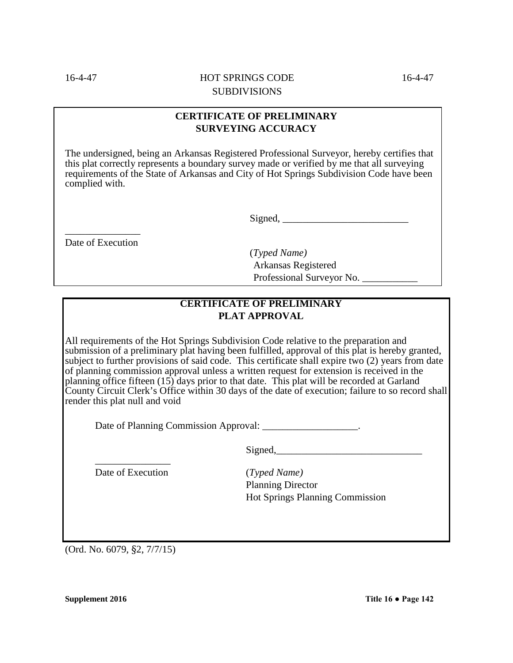## **CERTIFICATE OF PRELIMINARY SURVEYING ACCURACY**

The undersigned, being an Arkansas Registered Professional Surveyor, hereby certifies that this plat correctly represents a boundary survey made or verified by me that all surveying requirements of the State of Arkansas and City of Hot Springs Subdivision Code have been complied with.

 $Signal, \_\_$ 

\_\_\_\_\_\_\_\_\_\_\_\_\_\_\_ Date of Execution

> (*Typed Name)* Arkansas Registered Professional Surveyor No. \_\_\_\_\_\_\_\_\_\_\_

# **CERTIFICATE OF PRELIMINARY PLAT APPROVAL**

All requirements of the Hot Springs Subdivision Code relative to the preparation and submission of a preliminary plat having been fulfilled, approval of this plat is hereby granted, subject to further provisions of said code. This certificate shall expire two (2) years from date of planning commission approval unless a written request for extension is received in the planning office fifteen  $(15)$  days prior to that date. This plat will be recorded at Garland County Circuit Clerk's Office within 30 days of the date of execution; failure to so record shall render this plat null and void

Date of Planning Commission Approval: \_\_\_\_\_\_\_\_\_\_\_\_\_\_\_\_\_\_.

Signed,\_\_\_\_\_\_\_\_\_\_\_\_\_\_\_\_\_\_\_\_\_\_\_\_\_\_\_\_\_

\_\_\_\_\_\_\_\_\_\_\_\_\_\_\_ Date of Execution (*Typed Name)*

Planning Director Hot Springs Planning Commission

(Ord. No. 6079, §2, 7/7/15)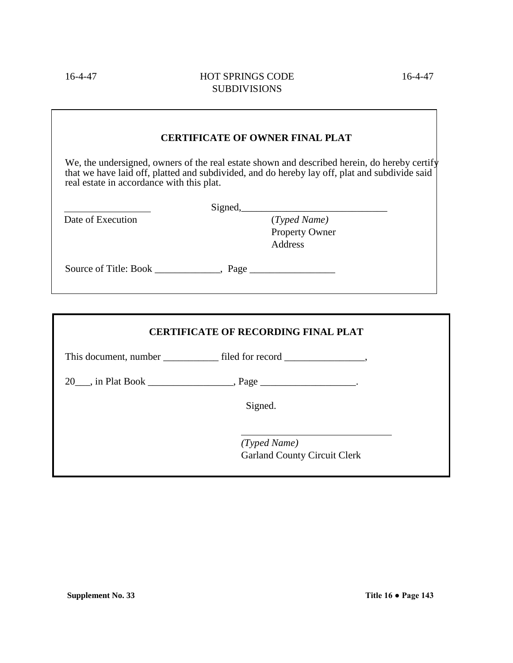|                                           | <b>CERTIFICATE OF OWNER FINAL PLAT</b>                                                                                                                                                        |
|-------------------------------------------|-----------------------------------------------------------------------------------------------------------------------------------------------------------------------------------------------|
| real estate in accordance with this plat. | We, the undersigned, owners of the real estate shown and described herein, do hereby certify<br>that we have laid off, platted and subdivided, and do hereby lay off, plat and subdivide said |
|                                           | Signed,                                                                                                                                                                                       |
| Date of Execution                         | (Typed Name)                                                                                                                                                                                  |
|                                           | Property Owner                                                                                                                                                                                |
|                                           | Address                                                                                                                                                                                       |
| Source of Title: Book Page                |                                                                                                                                                                                               |

| <b>CERTIFICATE OF RECORDING FINAL PLAT</b>          |
|-----------------------------------------------------|
|                                                     |
|                                                     |
| Signed.                                             |
| (Typed Name)<br><b>Garland County Circuit Clerk</b> |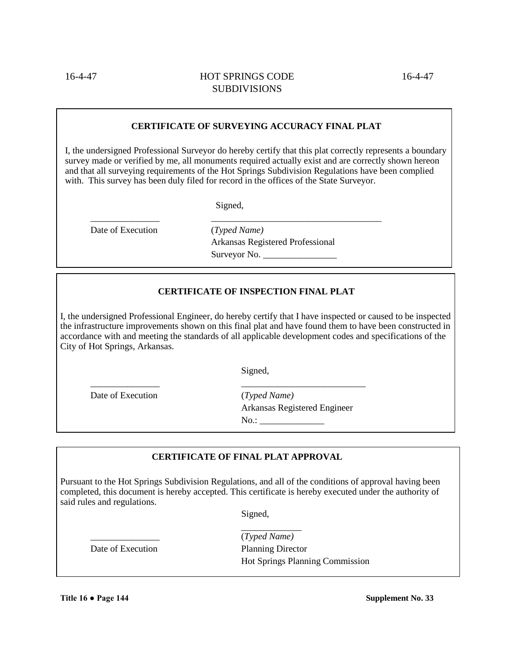#### **CERTIFICATE OF SURVEYING ACCURACY FINAL PLAT**

I, the undersigned Professional Surveyor do hereby certify that this plat correctly represents a boundary survey made or verified by me, all monuments required actually exist and are correctly shown hereon and that all surveying requirements of the Hot Springs Subdivision Regulations have been complied with. This survey has been duly filed for record in the offices of the State Surveyor.

Signed, \_\_\_\_\_\_\_\_\_\_\_\_\_\_\_ \_\_\_\_\_\_\_\_\_\_\_\_\_\_\_\_\_\_\_\_\_\_\_\_\_\_\_\_\_\_\_\_\_\_\_\_\_

Date of Execution (*Typed Name)*

Arkansas Registered Professional Surveyor No.

#### **CERTIFICATE OF INSPECTION FINAL PLAT**

I, the undersigned Professional Engineer, do hereby certify that I have inspected or caused to be inspected the infrastructure improvements shown on this final plat and have found them to have been constructed in accordance with and meeting the standards of all applicable development codes and specifications of the City of Hot Springs, Arkansas.

Signed,

\_\_\_\_\_\_\_\_\_\_\_\_\_\_\_ \_\_\_\_\_\_\_\_\_\_\_\_\_\_\_\_\_\_\_\_\_\_\_\_\_\_\_

Date of Execution (*Typed Name)* Arkansas Registered Engineer  $No.:$ 

#### **CERTIFICATE OF FINAL PLAT APPROVAL**

Pursuant to the Hot Springs Subdivision Regulations, and all of the conditions of approval having been completed, this document is hereby accepted. This certificate is hereby executed under the authority of said rules and regulations.

Signed,

\_\_\_\_\_\_\_\_\_\_\_\_\_\_\_ (*Typed Name)* Date of Execution Planning Director Hot Springs Planning Commission

**Title 16 ● Page 144 Supplement No. 33**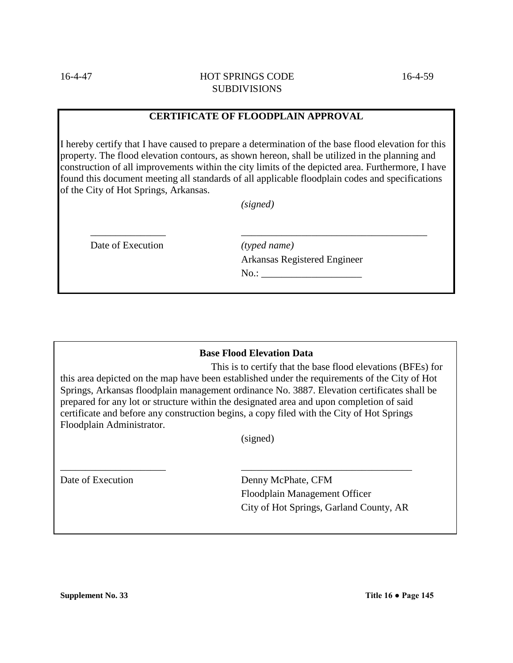#### **CERTIFICATE OF FLOODPLAIN APPROVAL**

I hereby certify that I have caused to prepare a determination of the base flood elevation for this property. The flood elevation contours, as shown hereon, shall be utilized in the planning and construction of all improvements within the city limits of the depicted area. Furthermore, I have found this document meeting all standards of all applicable floodplain codes and specifications of the City of Hot Springs, Arkansas.

*(signed)*

\_\_\_\_\_\_\_\_\_\_\_\_\_\_\_ \_\_\_\_\_\_\_\_\_\_\_\_\_\_\_\_\_\_\_\_\_\_\_\_\_\_\_\_\_\_\_\_\_\_\_\_\_

Date of Execution *<i>(typed name)* 

Arkansas Registered Engineer  $No.:$ 

#### **Base Flood Elevation Data**

This is to certify that the base flood elevations (BFEs) for this area depicted on the map have been established under the requirements of the City of Hot Springs, Arkansas floodplain management ordinance No. 3887. Elevation certificates shall be prepared for any lot or structure within the designated area and upon completion of said certificate and before any construction begins, a copy filed with the City of Hot Springs Floodplain Administrator.

(signed)

\_\_\_\_\_\_\_\_\_\_\_\_\_\_\_\_\_\_\_\_\_ \_\_\_\_\_\_\_\_\_\_\_\_\_\_\_\_\_\_\_\_\_\_\_\_\_\_\_\_\_\_\_\_\_\_

Date of Execution Denny McPhate, CFM Floodplain Management Officer City of Hot Springs, Garland County, AR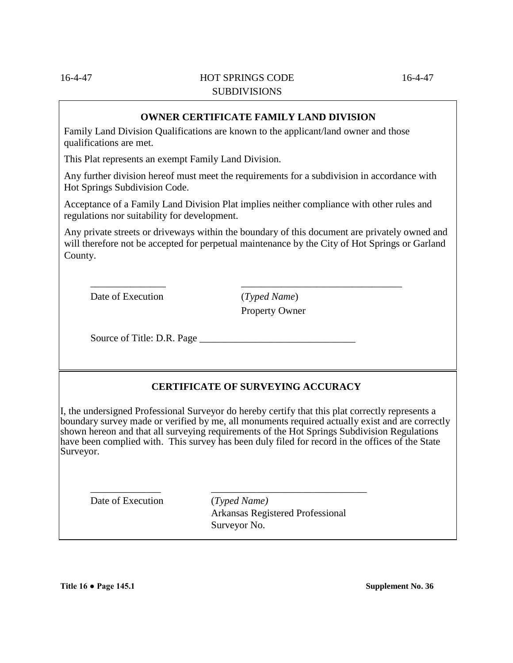**OWNER CERTIFICATE FAMILY LAND DIVISION**

Family Land Division Qualifications are known to the applicant/land owner and those qualifications are met.

This Plat represents an exempt Family Land Division.

Any further division hereof must meet the requirements for a subdivision in accordance with Hot Springs Subdivision Code.

Acceptance of a Family Land Division Plat implies neither compliance with other rules and regulations nor suitability for development.

\_\_\_\_\_\_\_\_\_\_\_\_\_\_\_ \_\_\_\_\_\_\_\_\_\_\_\_\_\_\_\_\_\_\_\_\_\_\_\_\_\_\_\_\_\_\_\_

Any private streets or driveways within the boundary of this document are privately owned and will therefore not be accepted for perpetual maintenance by the City of Hot Springs or Garland County.

Date of Execution (*Typed Name*)

Property Owner

Source of Title: D.R. Page \_\_\_\_\_\_\_\_\_\_\_\_\_\_\_\_\_\_\_\_\_\_\_\_\_\_\_\_\_\_\_

# **CERTIFICATE OF SURVEYING ACCURACY**

I, the undersigned Professional Surveyor do hereby certify that this plat correctly represents a boundary survey made or verified by me, all monuments required actually exist and are correctly shown hereon and that all surveying requirements of the Hot Springs Subdivision Regulations have been complied with. This survey has been duly filed for record in the offices of the State Surveyor.

\_\_\_\_\_\_\_\_\_\_\_\_\_\_ \_\_\_\_\_\_\_\_\_\_\_\_\_\_\_\_\_\_\_\_\_\_\_\_\_\_\_\_\_\_\_

Date of Execution (*Typed Name)*

Arkansas Registered Professional Surveyor No.

**Title 16 ● Page 145.1 Supplement No. 36**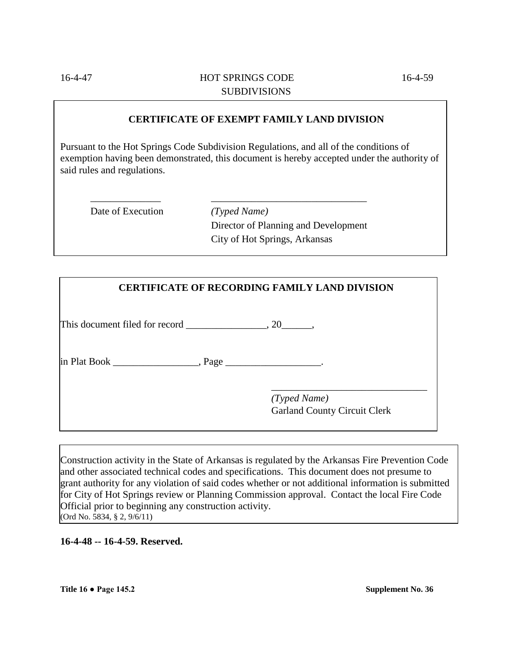**CERTIFICATE OF EXEMPT FAMILY LAND DIVISION**

Pursuant to the Hot Springs Code Subdivision Regulations, and all of the conditions of exemption having been demonstrated, this document is hereby accepted under the authority of said rules and regulations.

\_\_\_\_\_\_\_\_\_\_\_\_\_\_ \_\_\_\_\_\_\_\_\_\_\_\_\_\_\_\_\_\_\_\_\_\_\_\_\_\_\_\_\_\_\_

Date of Execution *(Typed Name)*

Director of Planning and Development City of Hot Springs, Arkansas

| <b>CERTIFICATE OF RECORDING FAMILY LAND DIVISION</b> |
|------------------------------------------------------|
|                                                      |
|                                                      |
| (Typed Name)<br><b>Garland County Circuit Clerk</b>  |

Construction activity in the State of Arkansas is regulated by the Arkansas Fire Prevention Code and other associated technical codes and specifications. This document does not presume to grant authority for any violation of said codes whether or not additional information is submitted for City of Hot Springs review or Planning Commission approval. Contact the local Fire Code Official prior to beginning any construction activity. (Ord No. 5834, § 2, 9/6/11)

**16-4-48 -- 16-4-59. Reserved.**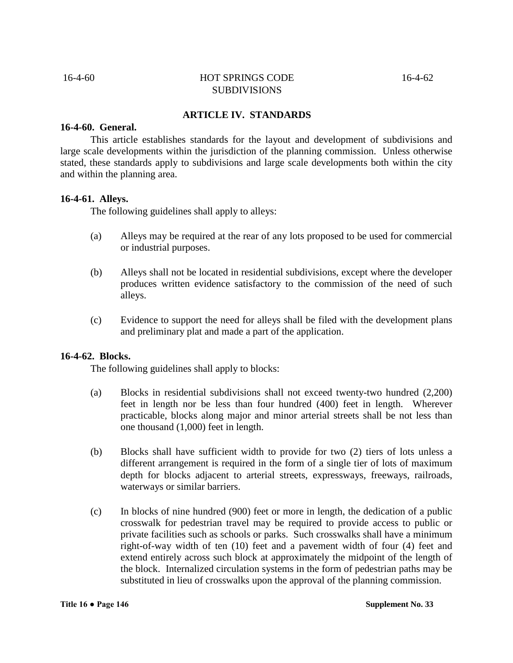#### **ARTICLE IV. STANDARDS**

#### **16-4-60. General.**

This article establishes standards for the layout and development of subdivisions and large scale developments within the jurisdiction of the planning commission. Unless otherwise stated, these standards apply to subdivisions and large scale developments both within the city and within the planning area.

#### **16-4-61. Alleys.**

The following guidelines shall apply to alleys:

- (a) Alleys may be required at the rear of any lots proposed to be used for commercial or industrial purposes.
- (b) Alleys shall not be located in residential subdivisions, except where the developer produces written evidence satisfactory to the commission of the need of such alleys.
- (c) Evidence to support the need for alleys shall be filed with the development plans and preliminary plat and made a part of the application.

#### **16-4-62. Blocks.**

The following guidelines shall apply to blocks:

- (a) Blocks in residential subdivisions shall not exceed twenty-two hundred (2,200) feet in length nor be less than four hundred (400) feet in length. Wherever practicable, blocks along major and minor arterial streets shall be not less than one thousand (1,000) feet in length.
- (b) Blocks shall have sufficient width to provide for two (2) tiers of lots unless a different arrangement is required in the form of a single tier of lots of maximum depth for blocks adjacent to arterial streets, expressways, freeways, railroads, waterways or similar barriers.
- (c) In blocks of nine hundred (900) feet or more in length, the dedication of a public crosswalk for pedestrian travel may be required to provide access to public or private facilities such as schools or parks. Such crosswalks shall have a minimum right-of-way width of ten (10) feet and a pavement width of four (4) feet and extend entirely across such block at approximately the midpoint of the length of the block. Internalized circulation systems in the form of pedestrian paths may be substituted in lieu of crosswalks upon the approval of the planning commission.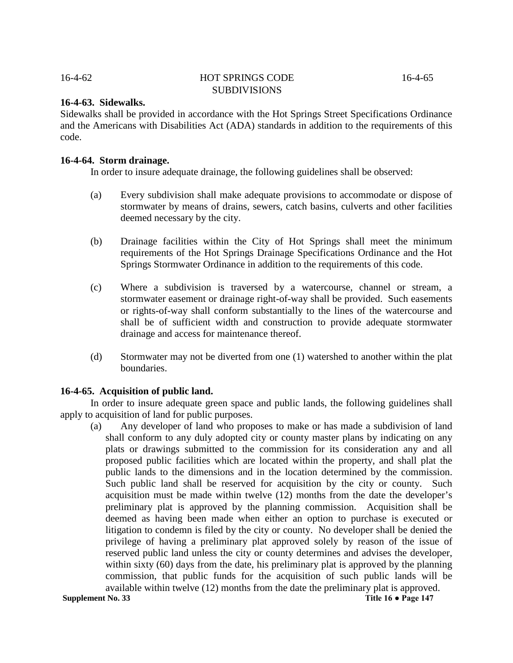### **16-4-63. Sidewalks.**

Sidewalks shall be provided in accordance with the Hot Springs Street Specifications Ordinance and the Americans with Disabilities Act (ADA) standards in addition to the requirements of this code.

#### **16-4-64. Storm drainage.**

In order to insure adequate drainage, the following guidelines shall be observed:

- (a) Every subdivision shall make adequate provisions to accommodate or dispose of stormwater by means of drains, sewers, catch basins, culverts and other facilities deemed necessary by the city.
- (b) Drainage facilities within the City of Hot Springs shall meet the minimum requirements of the Hot Springs Drainage Specifications Ordinance and the Hot Springs Stormwater Ordinance in addition to the requirements of this code.
- (c) Where a subdivision is traversed by a watercourse, channel or stream, a stormwater easement or drainage right-of-way shall be provided. Such easements or rights-of-way shall conform substantially to the lines of the watercourse and shall be of sufficient width and construction to provide adequate stormwater drainage and access for maintenance thereof.
- (d) Stormwater may not be diverted from one (1) watershed to another within the plat boundaries.

# **16-4-65. Acquisition of public land.**

In order to insure adequate green space and public lands, the following guidelines shall apply to acquisition of land for public purposes.

(a) Any developer of land who proposes to make or has made a subdivision of land shall conform to any duly adopted city or county master plans by indicating on any plats or drawings submitted to the commission for its consideration any and all proposed public facilities which are located within the property, and shall plat the public lands to the dimensions and in the location determined by the commission. Such public land shall be reserved for acquisition by the city or county. Such acquisition must be made within twelve (12) months from the date the developer's preliminary plat is approved by the planning commission. Acquisition shall be deemed as having been made when either an option to purchase is executed or litigation to condemn is filed by the city or county. No developer shall be denied the privilege of having a preliminary plat approved solely by reason of the issue of reserved public land unless the city or county determines and advises the developer, within sixty (60) days from the date, his preliminary plat is approved by the planning commission, that public funds for the acquisition of such public lands will be available within twelve (12) months from the date the preliminary plat is approved.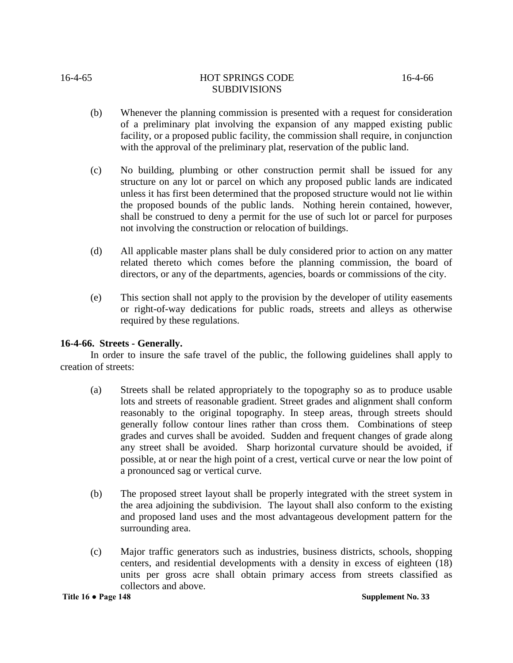**Title 16 ● Page 148 Supplement No. 33**

- (b) Whenever the planning commission is presented with a request for consideration of a preliminary plat involving the expansion of any mapped existing public facility, or a proposed public facility, the commission shall require, in conjunction
- (c) No building, plumbing or other construction permit shall be issued for any structure on any lot or parcel on which any proposed public lands are indicated unless it has first been determined that the proposed structure would not lie within the proposed bounds of the public lands. Nothing herein contained, however, shall be construed to deny a permit for the use of such lot or parcel for purposes not involving the construction or relocation of buildings.

with the approval of the preliminary plat, reservation of the public land.

SUBDIVISIONS

- (d) All applicable master plans shall be duly considered prior to action on any matter related thereto which comes before the planning commission, the board of directors, or any of the departments, agencies, boards or commissions of the city.
- (e) This section shall not apply to the provision by the developer of utility easements or right-of-way dedications for public roads, streets and alleys as otherwise required by these regulations.

# **16-4-66. Streets - Generally.**

In order to insure the safe travel of the public, the following guidelines shall apply to creation of streets:

- (a) Streets shall be related appropriately to the topography so as to produce usable lots and streets of reasonable gradient. Street grades and alignment shall conform reasonably to the original topography. In steep areas, through streets should generally follow contour lines rather than cross them. Combinations of steep grades and curves shall be avoided. Sudden and frequent changes of grade along any street shall be avoided. Sharp horizontal curvature should be avoided, if possible, at or near the high point of a crest, vertical curve or near the low point of a pronounced sag or vertical curve.
- (b) The proposed street layout shall be properly integrated with the street system in the area adjoining the subdivision. The layout shall also conform to the existing and proposed land uses and the most advantageous development pattern for the surrounding area.
- (c) Major traffic generators such as industries, business districts, schools, shopping centers, and residential developments with a density in excess of eighteen (18) units per gross acre shall obtain primary access from streets classified as collectors and above.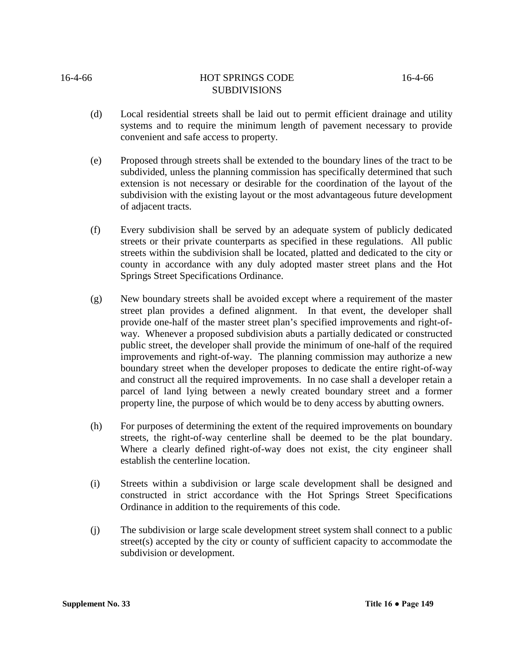- (d) Local residential streets shall be laid out to permit efficient drainage and utility systems and to require the minimum length of pavement necessary to provide convenient and safe access to property.
- (e) Proposed through streets shall be extended to the boundary lines of the tract to be subdivided, unless the planning commission has specifically determined that such extension is not necessary or desirable for the coordination of the layout of the subdivision with the existing layout or the most advantageous future development of adjacent tracts.
- (f) Every subdivision shall be served by an adequate system of publicly dedicated streets or their private counterparts as specified in these regulations. All public streets within the subdivision shall be located, platted and dedicated to the city or county in accordance with any duly adopted master street plans and the Hot Springs Street Specifications Ordinance.
- (g) New boundary streets shall be avoided except where a requirement of the master street plan provides a defined alignment. In that event, the developer shall provide one-half of the master street plan's specified improvements and right-ofway. Whenever a proposed subdivision abuts a partially dedicated or constructed public street, the developer shall provide the minimum of one-half of the required improvements and right-of-way. The planning commission may authorize a new boundary street when the developer proposes to dedicate the entire right-of-way and construct all the required improvements. In no case shall a developer retain a parcel of land lying between a newly created boundary street and a former property line, the purpose of which would be to deny access by abutting owners.
- (h) For purposes of determining the extent of the required improvements on boundary streets, the right-of-way centerline shall be deemed to be the plat boundary. Where a clearly defined right-of-way does not exist, the city engineer shall establish the centerline location.
- (i) Streets within a subdivision or large scale development shall be designed and constructed in strict accordance with the Hot Springs Street Specifications Ordinance in addition to the requirements of this code.
- (j) The subdivision or large scale development street system shall connect to a public street(s) accepted by the city or county of sufficient capacity to accommodate the subdivision or development.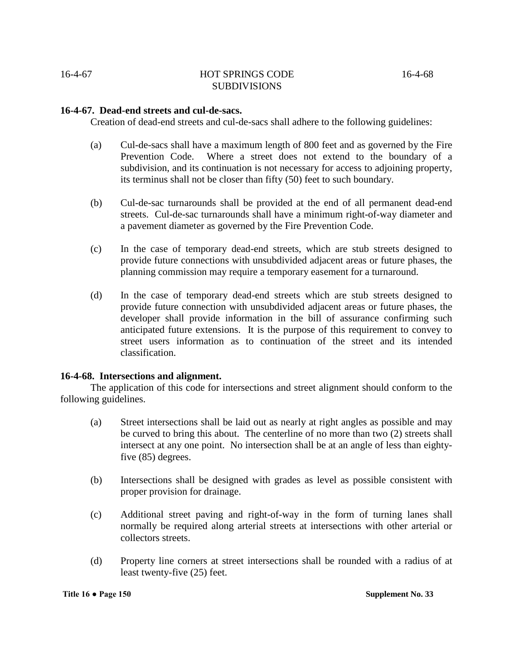# **16-4-67. Dead-end streets and cul-de-sacs.**

Creation of dead-end streets and cul-de-sacs shall adhere to the following guidelines:

- (a) Cul-de-sacs shall have a maximum length of 800 feet and as governed by the Fire Prevention Code. Where a street does not extend to the boundary of a subdivision, and its continuation is not necessary for access to adjoining property, its terminus shall not be closer than fifty (50) feet to such boundary.
- (b) Cul-de-sac turnarounds shall be provided at the end of all permanent dead-end streets. Cul-de-sac turnarounds shall have a minimum right-of-way diameter and a pavement diameter as governed by the Fire Prevention Code.
- (c) In the case of temporary dead-end streets, which are stub streets designed to provide future connections with unsubdivided adjacent areas or future phases, the planning commission may require a temporary easement for a turnaround.
- (d) In the case of temporary dead-end streets which are stub streets designed to provide future connection with unsubdivided adjacent areas or future phases, the developer shall provide information in the bill of assurance confirming such anticipated future extensions. It is the purpose of this requirement to convey to street users information as to continuation of the street and its intended classification.

# **16-4-68. Intersections and alignment.**

The application of this code for intersections and street alignment should conform to the following guidelines.

- (a) Street intersections shall be laid out as nearly at right angles as possible and may be curved to bring this about. The centerline of no more than two (2) streets shall intersect at any one point. No intersection shall be at an angle of less than eightyfive (85) degrees.
- (b) Intersections shall be designed with grades as level as possible consistent with proper provision for drainage.
- (c) Additional street paving and right-of-way in the form of turning lanes shall normally be required along arterial streets at intersections with other arterial or collectors streets.
- (d) Property line corners at street intersections shall be rounded with a radius of at least twenty-five (25) feet.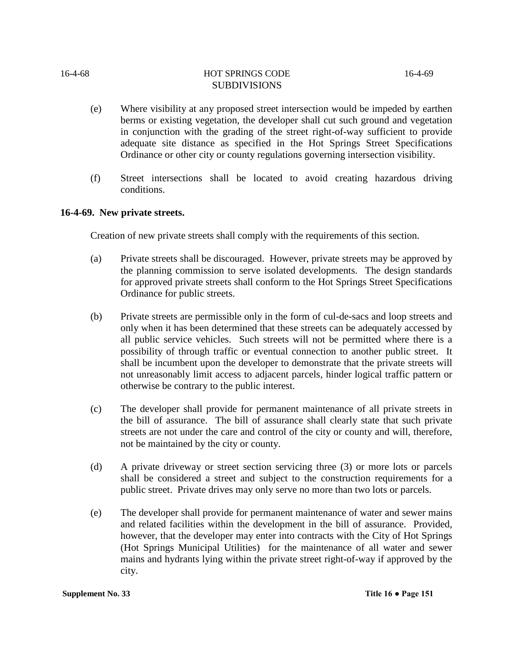- (e) Where visibility at any proposed street intersection would be impeded by earthen berms or existing vegetation, the developer shall cut such ground and vegetation in conjunction with the grading of the street right-of-way sufficient to provide adequate site distance as specified in the Hot Springs Street Specifications Ordinance or other city or county regulations governing intersection visibility.
- (f) Street intersections shall be located to avoid creating hazardous driving conditions.

# **16-4-69. New private streets.**

Creation of new private streets shall comply with the requirements of this section.

- (a) Private streets shall be discouraged. However, private streets may be approved by the planning commission to serve isolated developments. The design standards for approved private streets shall conform to the Hot Springs Street Specifications Ordinance for public streets.
- (b) Private streets are permissible only in the form of cul-de-sacs and loop streets and only when it has been determined that these streets can be adequately accessed by all public service vehicles. Such streets will not be permitted where there is a possibility of through traffic or eventual connection to another public street. It shall be incumbent upon the developer to demonstrate that the private streets will not unreasonably limit access to adjacent parcels, hinder logical traffic pattern or otherwise be contrary to the public interest.
- (c) The developer shall provide for permanent maintenance of all private streets in the bill of assurance. The bill of assurance shall clearly state that such private streets are not under the care and control of the city or county and will, therefore, not be maintained by the city or county.
- (d) A private driveway or street section servicing three (3) or more lots or parcels shall be considered a street and subject to the construction requirements for a public street. Private drives may only serve no more than two lots or parcels.
- (e) The developer shall provide for permanent maintenance of water and sewer mains and related facilities within the development in the bill of assurance. Provided, however, that the developer may enter into contracts with the City of Hot Springs (Hot Springs Municipal Utilities) for the maintenance of all water and sewer mains and hydrants lying within the private street right-of-way if approved by the city.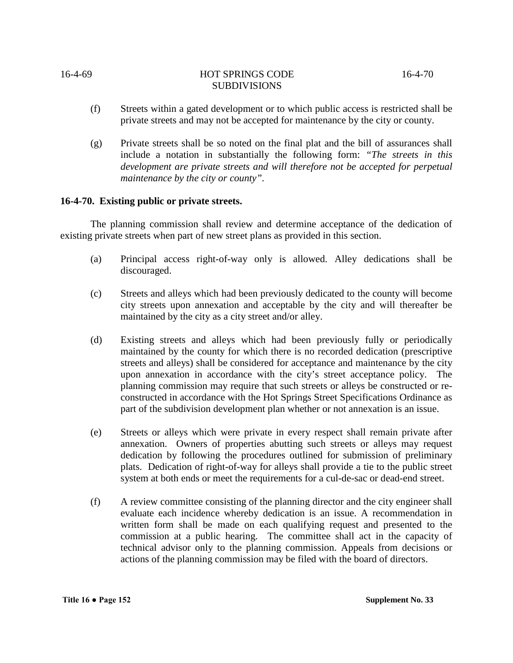- (f) Streets within a gated development or to which public access is restricted shall be private streets and may not be accepted for maintenance by the city or county.
- (g) Private streets shall be so noted on the final plat and the bill of assurances shall include a notation in substantially the following form: *"The streets in this development are private streets and will therefore not be accepted for perpetual maintenance by the city or county".*

# **16-4-70. Existing public or private streets.**

The planning commission shall review and determine acceptance of the dedication of existing private streets when part of new street plans as provided in this section.

- (a) Principal access right-of-way only is allowed. Alley dedications shall be discouraged.
- (c) Streets and alleys which had been previously dedicated to the county will become city streets upon annexation and acceptable by the city and will thereafter be maintained by the city as a city street and/or alley.
- (d) Existing streets and alleys which had been previously fully or periodically maintained by the county for which there is no recorded dedication (prescriptive streets and alleys) shall be considered for acceptance and maintenance by the city upon annexation in accordance with the city's street acceptance policy. The planning commission may require that such streets or alleys be constructed or reconstructed in accordance with the Hot Springs Street Specifications Ordinance as part of the subdivision development plan whether or not annexation is an issue.
- (e) Streets or alleys which were private in every respect shall remain private after annexation. Owners of properties abutting such streets or alleys may request dedication by following the procedures outlined for submission of preliminary plats. Dedication of right-of-way for alleys shall provide a tie to the public street system at both ends or meet the requirements for a cul-de-sac or dead-end street.
- (f) A review committee consisting of the planning director and the city engineer shall evaluate each incidence whereby dedication is an issue. A recommendation in written form shall be made on each qualifying request and presented to the commission at a public hearing. The committee shall act in the capacity of technical advisor only to the planning commission. Appeals from decisions or actions of the planning commission may be filed with the board of directors.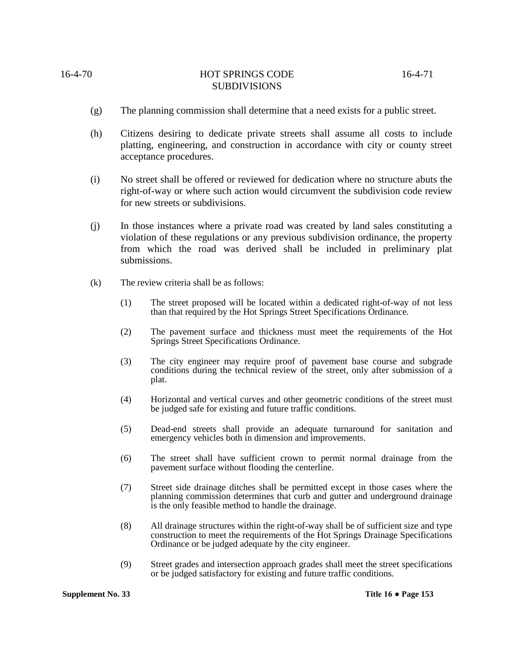- (g) The planning commission shall determine that a need exists for a public street.
- (h) Citizens desiring to dedicate private streets shall assume all costs to include platting, engineering, and construction in accordance with city or county street acceptance procedures.
- (i) No street shall be offered or reviewed for dedication where no structure abuts the right-of-way or where such action would circumvent the subdivision code review for new streets or subdivisions.
- (j) In those instances where a private road was created by land sales constituting a violation of these regulations or any previous subdivision ordinance, the property from which the road was derived shall be included in preliminary plat submissions.
- (k) The review criteria shall be as follows:
	- (1) The street proposed will be located within a dedicated right-of-way of not less than that required by the Hot Springs Street Specifications Ordinance.
	- (2) The pavement surface and thickness must meet the requirements of the Hot Springs Street Specifications Ordinance.
	- (3) The city engineer may require proof of pavement base course and subgrade conditions during the technical review of the street, only after submission of a plat.
	- (4) Horizontal and vertical curves and other geometric conditions of the street must be judged safe for existing and future traffic conditions.
	- (5) Dead-end streets shall provide an adequate turnaround for sanitation and emergency vehicles both in dimension and improvements.
	- (6) The street shall have sufficient crown to permit normal drainage from the pavement surface without flooding the centerline.
	- (7) Street side drainage ditches shall be permitted except in those cases where the planning commission determines that curb and gutter and underground drainage is the only feasible method to handle the drainage.
	- (8) All drainage structures within the right-of-way shall be of sufficient size and type construction to meet the requirements of the Hot Springs Drainage Specifications Ordinance or be judged adequate by the city engineer.
	- (9) Street grades and intersection approach grades shall meet the street specifications or be judged satisfactory for existing and future traffic conditions.

**Supplement No. 33 Title 16 ● Page 153**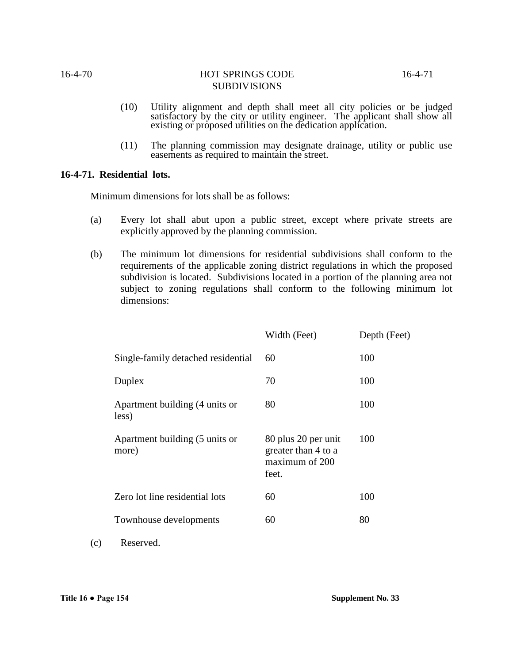- (10) Utility alignment and depth shall meet all city policies or be judged satisfactory by the city or utility engineer. The applicant shall show all existing or proposed utilities on the dedication application.
- (11) The planning commission may designate drainage, utility or public use easements as required to maintain the street.

# **16-4-71. Residential lots.**

Minimum dimensions for lots shall be as follows:

- (a) Every lot shall abut upon a public street, except where private streets are explicitly approved by the planning commission.
- (b) The minimum lot dimensions for residential subdivisions shall conform to the requirements of the applicable zoning district regulations in which the proposed subdivision is located. Subdivisions located in a portion of the planning area not subject to zoning regulations shall conform to the following minimum lot dimensions:

|                                         | Width (Feet)                                                          | Depth (Feet) |
|-----------------------------------------|-----------------------------------------------------------------------|--------------|
| Single-family detached residential      | 60                                                                    | 100          |
| Duplex                                  | 70                                                                    | 100          |
| Apartment building (4 units or<br>less) | 80                                                                    | 100          |
| Apartment building (5 units or<br>more) | 80 plus 20 per unit<br>greater than 4 to a<br>maximum of 200<br>feet. | 100          |
| Zero lot line residential lots          | 60                                                                    | 100          |
| Townhouse developments                  | 60                                                                    | 80           |
|                                         |                                                                       |              |

(c) Reserved.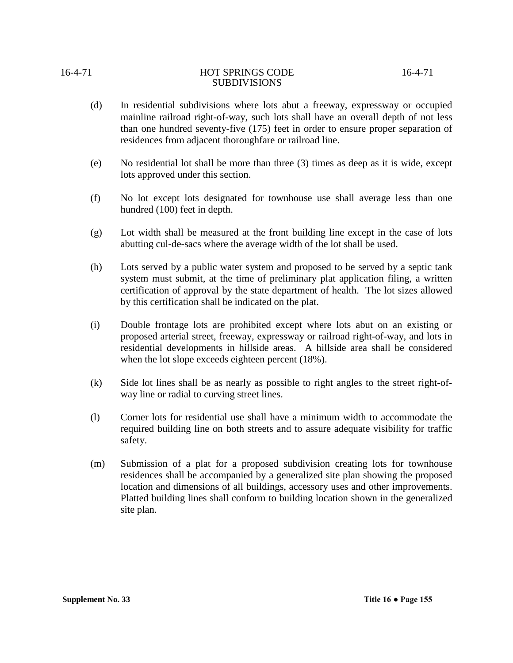**Supplement No. 33 Title 16 ● Page 155**

site plan.

(m) Submission of a plat for a proposed subdivision creating lots for townhouse residences shall be accompanied by a generalized site plan showing the proposed location and dimensions of all buildings, accessory uses and other improvements. Platted building lines shall conform to building location shown in the generalized

required building line on both streets and to assure adequate visibility for traffic safety.

(l) Corner lots for residential use shall have a minimum width to accommodate the

when the lot slope exceeds eighteen percent (18%). (k) Side lot lines shall be as nearly as possible to right angles to the street right-ofway line or radial to curving street lines.

(h) Lots served by a public water system and proposed to be served by a septic tank system must submit, at the time of preliminary plat application filing, a written certification of approval by the state department of health. The lot sizes allowed by this certification shall be indicated on the plat.

(i) Double frontage lots are prohibited except where lots abut on an existing or

proposed arterial street, freeway, expressway or railroad right-of-way, and lots in residential developments in hillside areas. A hillside area shall be considered

hundred (100) feet in depth.

(g) Lot width shall be measured at the front building line except in the case of lots abutting cul-de-sacs where the average width of the lot shall be used.

(d) In residential subdivisions where lots abut a freeway, expressway or occupied mainline railroad right-of-way, such lots shall have an overall depth of not less than one hundred seventy-five (175) feet in order to ensure proper separation of residences from adjacent thoroughfare or railroad line.

SUBDIVISIONS

- 
- (e) No residential lot shall be more than three (3) times as deep as it is wide, except
	- lots approved under this section.
- 
- (f) No lot except lots designated for townhouse use shall average less than one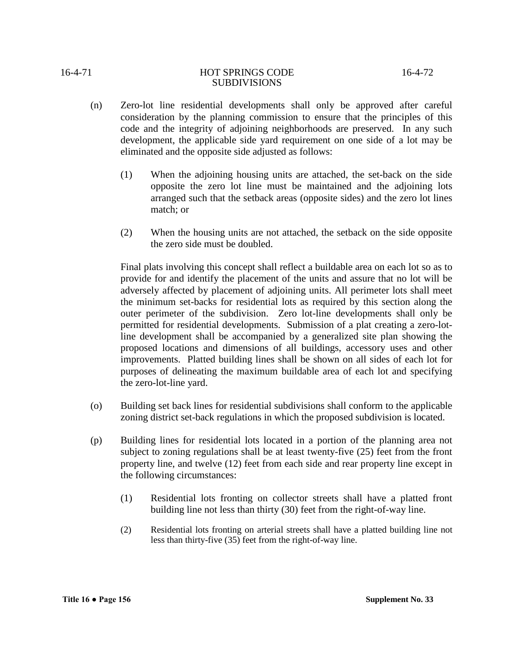- SUBDIVISIONS
- (n) Zero-lot line residential developments shall only be approved after careful consideration by the planning commission to ensure that the principles of this code and the integrity of adjoining neighborhoods are preserved. In any such development, the applicable side yard requirement on one side of a lot may be eliminated and the opposite side adjusted as follows:
	- (1) When the adjoining housing units are attached, the set-back on the side opposite the zero lot line must be maintained and the adjoining lots arranged such that the setback areas (opposite sides) and the zero lot lines match; or
	- (2) When the housing units are not attached, the setback on the side opposite the zero side must be doubled.

Final plats involving this concept shall reflect a buildable area on each lot so as to provide for and identify the placement of the units and assure that no lot will be adversely affected by placement of adjoining units. All perimeter lots shall meet the minimum set-backs for residential lots as required by this section along the outer perimeter of the subdivision. Zero lot-line developments shall only be permitted for residential developments. Submission of a plat creating a zero-lotline development shall be accompanied by a generalized site plan showing the proposed locations and dimensions of all buildings, accessory uses and other improvements. Platted building lines shall be shown on all sides of each lot for purposes of delineating the maximum buildable area of each lot and specifying the zero-lot-line yard.

- (o) Building set back lines for residential subdivisions shall conform to the applicable zoning district set-back regulations in which the proposed subdivision is located.
- (p) Building lines for residential lots located in a portion of the planning area not subject to zoning regulations shall be at least twenty-five (25) feet from the front property line, and twelve (12) feet from each side and rear property line except in the following circumstances:
	- (1) Residential lots fronting on collector streets shall have a platted front building line not less than thirty (30) feet from the right-of-way line.
	- (2) Residential lots fronting on arterial streets shall have a platted building line not less than thirty-five (35) feet from the right-of-way line.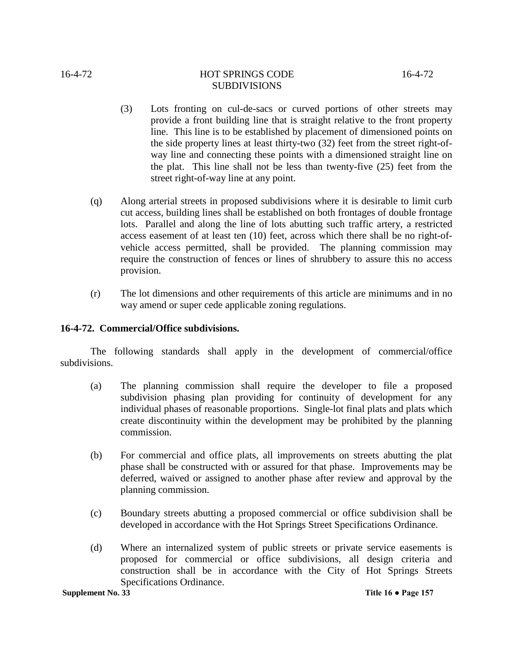- (3) Lots fronting on cul-de-sacs or curved portions of other streets may provide a front building line that is straight relative to the front property line. This line is to be established by placement of dimensioned points on the side property lines at least thirty-two (32) feet from the street right-ofway line and connecting these points with a dimensioned straight line on the plat. This line shall not be less than twenty-five (25) feet from the street right-of-way line at any point.
- (q) Along arterial streets in proposed subdivisions where it is desirable to limit curb cut access, building lines shall be established on both frontages of double frontage lots. Parallel and along the line of lots abutting such traffic artery, a restricted access easement of at least ten (10) feet, across which there shall be no right-ofvehicle access permitted, shall be provided. The planning commission may require the construction of fences or lines of shrubbery to assure this no access provision.
- (r) The lot dimensions and other requirements of this article are minimums and in no way amend or super cede applicable zoning regulations.

# **16-4-72. Commercial/Office subdivisions.**

The following standards shall apply in the development of commercial/office subdivisions.

- (a) The planning commission shall require the developer to file a proposed subdivision phasing plan providing for continuity of development for any individual phases of reasonable proportions. Single-lot final plats and plats which create discontinuity within the development may be prohibited by the planning commission.
- (b) For commercial and office plats, all improvements on streets abutting the plat phase shall be constructed with or assured for that phase. Improvements may be deferred, waived or assigned to another phase after review and approval by the planning commission.
- (c) Boundary streets abutting a proposed commercial or office subdivision shall be developed in accordance with the Hot Springs Street Specifications Ordinance.
- (d) Where an internalized system of public streets or private service easements is proposed for commercial or office subdivisions, all design criteria and construction shall be in accordance with the City of Hot Springs Streets Specifications Ordinance.

**Supplement No. 33 Title 16 • Page 157**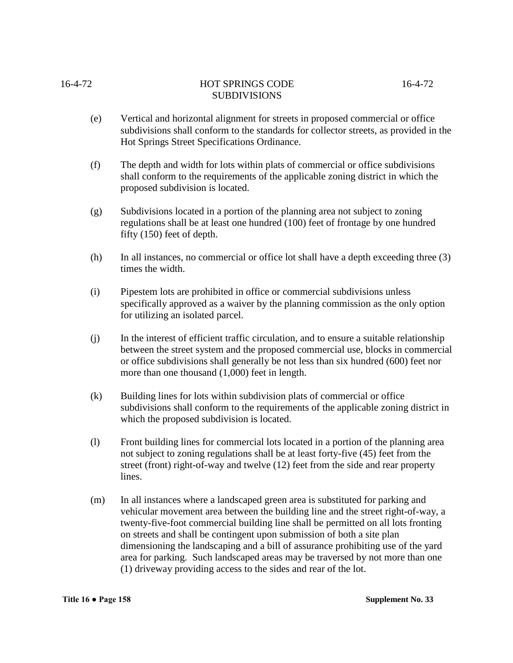16-4-72 HOT SPRINGS CODE 16-4-72

# SUBDIVISIONS

- (e) Vertical and horizontal alignment for streets in proposed commercial or office subdivisions shall conform to the standards for collector streets, as provided in the Hot Springs Street Specifications Ordinance.
- (f) The depth and width for lots within plats of commercial or office subdivisions shall conform to the requirements of the applicable zoning district in which the proposed subdivision is located.
- (g) Subdivisions located in a portion of the planning area not subject to zoning regulations shall be at least one hundred (100) feet of frontage by one hundred fifty (150) feet of depth.
- (h) In all instances, no commercial or office lot shall have a depth exceeding three (3) times the width.
- (i) Pipestem lots are prohibited in office or commercial subdivisions unless specifically approved as a waiver by the planning commission as the only option for utilizing an isolated parcel.
- (j) In the interest of efficient traffic circulation, and to ensure a suitable relationship between the street system and the proposed commercial use, blocks in commercial or office subdivisions shall generally be not less than six hundred (600) feet nor more than one thousand (1,000) feet in length.
- (k) Building lines for lots within subdivision plats of commercial or office subdivisions shall conform to the requirements of the applicable zoning district in which the proposed subdivision is located.
- (l) Front building lines for commercial lots located in a portion of the planning area not subject to zoning regulations shall be at least forty-five (45) feet from the street (front) right-of-way and twelve (12) feet from the side and rear property lines.
- (m) In all instances where a landscaped green area is substituted for parking and vehicular movement area between the building line and the street right-of-way, a twenty-five-foot commercial building line shall be permitted on all lots fronting on streets and shall be contingent upon submission of both a site plan dimensioning the landscaping and a bill of assurance prohibiting use of the yard area for parking. Such landscaped areas may be traversed by not more than one (1) driveway providing access to the sides and rear of the lot.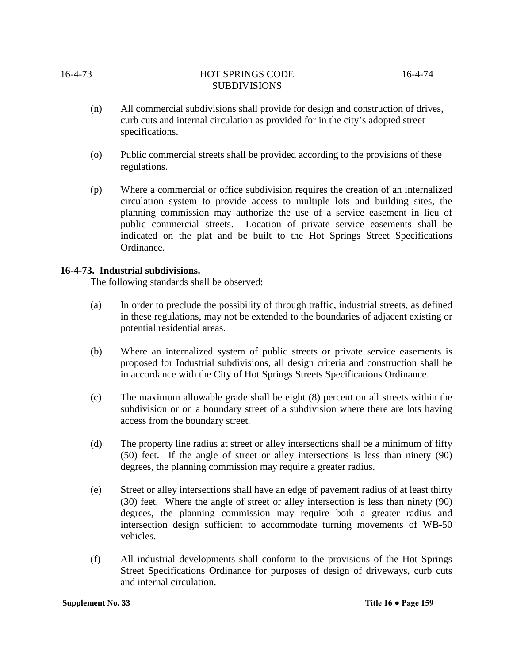- (n) All commercial subdivisions shall provide for design and construction of drives, curb cuts and internal circulation as provided for in the city's adopted street specifications.
- (o) Public commercial streets shall be provided according to the provisions of these regulations.
- (p) Where a commercial or office subdivision requires the creation of an internalized circulation system to provide access to multiple lots and building sites, the planning commission may authorize the use of a service easement in lieu of public commercial streets. Location of private service easements shall be indicated on the plat and be built to the Hot Springs Street Specifications Ordinance.

# **16-4-73. Industrial subdivisions.**

The following standards shall be observed:

- (a) In order to preclude the possibility of through traffic, industrial streets, as defined in these regulations, may not be extended to the boundaries of adjacent existing or potential residential areas.
- (b) Where an internalized system of public streets or private service easements is proposed for Industrial subdivisions, all design criteria and construction shall be in accordance with the City of Hot Springs Streets Specifications Ordinance.
- (c) The maximum allowable grade shall be eight (8) percent on all streets within the subdivision or on a boundary street of a subdivision where there are lots having access from the boundary street.
- (d) The property line radius at street or alley intersections shall be a minimum of fifty (50) feet. If the angle of street or alley intersections is less than ninety (90) degrees, the planning commission may require a greater radius.
- (e) Street or alley intersections shall have an edge of pavement radius of at least thirty (30) feet. Where the angle of street or alley intersection is less than ninety (90) degrees, the planning commission may require both a greater radius and intersection design sufficient to accommodate turning movements of WB-50 vehicles.
- (f) All industrial developments shall conform to the provisions of the Hot Springs Street Specifications Ordinance for purposes of design of driveways, curb cuts and internal circulation.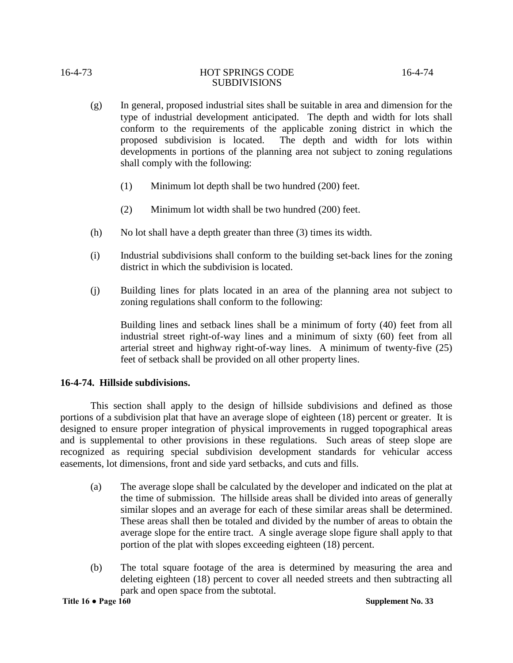- (g) In general, proposed industrial sites shall be suitable in area and dimension for the type of industrial development anticipated. The depth and width for lots shall conform to the requirements of the applicable zoning district in which the proposed subdivision is located. The depth and width for lots within developments in portions of the planning area not subject to zoning regulations shall comply with the following:
	- (1) Minimum lot depth shall be two hundred (200) feet.
	- (2) Minimum lot width shall be two hundred (200) feet.
- (h) No lot shall have a depth greater than three (3) times its width.
- (i) Industrial subdivisions shall conform to the building set-back lines for the zoning district in which the subdivision is located.
- (j) Building lines for plats located in an area of the planning area not subject to zoning regulations shall conform to the following:

Building lines and setback lines shall be a minimum of forty (40) feet from all industrial street right-of-way lines and a minimum of sixty (60) feet from all arterial street and highway right-of-way lines. A minimum of twenty-five (25) feet of setback shall be provided on all other property lines.

# **16-4-74. Hillside subdivisions.**

This section shall apply to the design of hillside subdivisions and defined as those portions of a subdivision plat that have an average slope of eighteen (18) percent or greater. It is designed to ensure proper integration of physical improvements in rugged topographical areas and is supplemental to other provisions in these regulations. Such areas of steep slope are recognized as requiring special subdivision development standards for vehicular access easements, lot dimensions, front and side yard setbacks, and cuts and fills.

- (a) The average slope shall be calculated by the developer and indicated on the plat at the time of submission. The hillside areas shall be divided into areas of generally similar slopes and an average for each of these similar areas shall be determined. These areas shall then be totaled and divided by the number of areas to obtain the average slope for the entire tract. A single average slope figure shall apply to that portion of the plat with slopes exceeding eighteen (18) percent.
- (b) The total square footage of the area is determined by measuring the area and deleting eighteen (18) percent to cover all needed streets and then subtracting all park and open space from the subtotal.

**Title 16 ● Page 160 Supplement No. 33**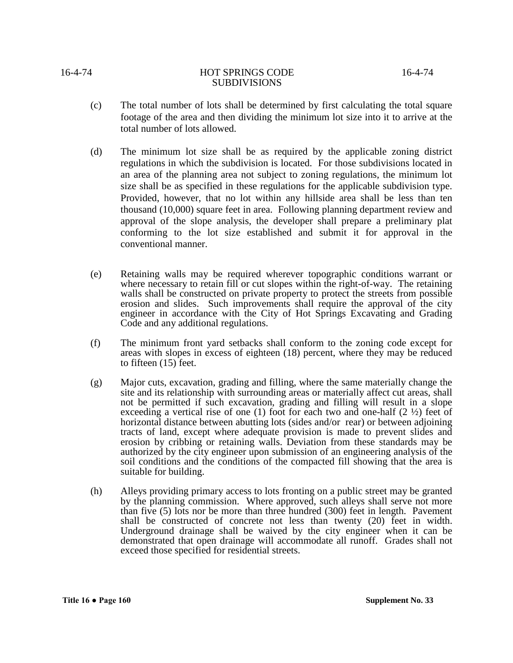- (c) The total number of lots shall be determined by first calculating the total square footage of the area and then dividing the minimum lot size into it to arrive at the total number of lots allowed.
- (d) The minimum lot size shall be as required by the applicable zoning district regulations in which the subdivision is located. For those subdivisions located in an area of the planning area not subject to zoning regulations, the minimum lot size shall be as specified in these regulations for the applicable subdivision type. Provided, however, that no lot within any hillside area shall be less than ten thousand (10,000) square feet in area. Following planning department review and approval of the slope analysis, the developer shall prepare a preliminary plat conforming to the lot size established and submit it for approval in the conventional manner.
- (e) Retaining walls may be required wherever topographic conditions warrant or where necessary to retain fill or cut slopes within the right-of-way. The retaining walls shall be constructed on private property to protect the streets from possible erosion and slides. Such improvements shall require the approval of the city engineer in accordance with the City of Hot Springs Excavating and Grading Code and any additional regulations.
- (f) The minimum front yard setbacks shall conform to the zoning code except for areas with slopes in excess of eighteen (18) percent, where they may be reduced to fifteen (15) feet.
- (g) Major cuts, excavation, grading and filling, where the same materially change the site and its relationship with surrounding areas or materially affect cut areas, shall not be permitted if such excavation, grading and filling will result in a slope exceeding a vertical rise of one (1) foot for each two and one-half  $(2 \frac{1}{2})$  feet of horizontal distance between abutting lots (sides and/or rear) or between adjoining tracts of land, except where adequate provision is made to prevent slides and erosion by cribbing or retaining walls. Deviation from these standards may be authorized by the city engineer upon submission of an engineering analysis of the soil conditions and the conditions of the compacted fill showing that the area is suitable for building.
- (h) Alleys providing primary access to lots fronting on a public street may be granted by the planning commission. Where approved, such alleys shall serve not more than five (5) lots nor be more than three hundred (300) feet in length. Pavement shall be constructed of concrete not less than twenty (20) feet in width. Underground drainage shall be waived by the city engineer when it can be demonstrated that open drainage will accommodate all runoff. Grades shall not exceed those specified for residential streets.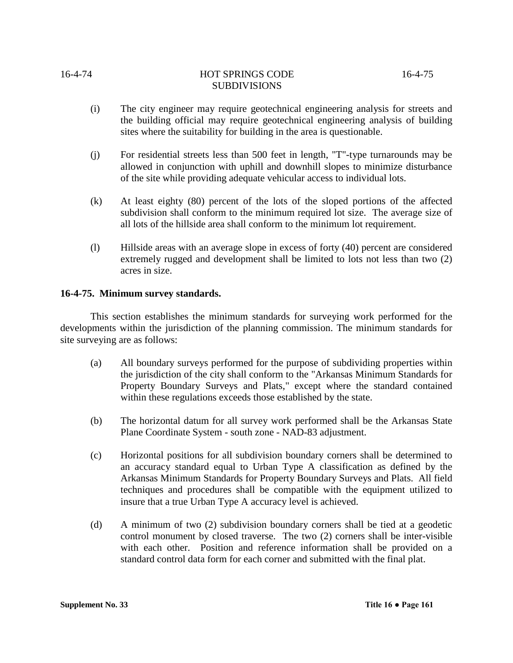- (i) The city engineer may require geotechnical engineering analysis for streets and the building official may require geotechnical engineering analysis of building sites where the suitability for building in the area is questionable.
- (j) For residential streets less than 500 feet in length, "T"-type turnarounds may be allowed in conjunction with uphill and downhill slopes to minimize disturbance of the site while providing adequate vehicular access to individual lots.
- (k) At least eighty (80) percent of the lots of the sloped portions of the affected subdivision shall conform to the minimum required lot size. The average size of all lots of the hillside area shall conform to the minimum lot requirement.
- (l) Hillside areas with an average slope in excess of forty (40) percent are considered extremely rugged and development shall be limited to lots not less than two (2) acres in size.

# **16-4-75. Minimum survey standards.**

This section establishes the minimum standards for surveying work performed for the developments within the jurisdiction of the planning commission. The minimum standards for site surveying are as follows:

- (a) All boundary surveys performed for the purpose of subdividing properties within the jurisdiction of the city shall conform to the "Arkansas Minimum Standards for Property Boundary Surveys and Plats," except where the standard contained within these regulations exceeds those established by the state.
- (b) The horizontal datum for all survey work performed shall be the Arkansas State Plane Coordinate System - south zone - NAD-83 adjustment.
- (c) Horizontal positions for all subdivision boundary corners shall be determined to an accuracy standard equal to Urban Type A classification as defined by the Arkansas Minimum Standards for Property Boundary Surveys and Plats. All field techniques and procedures shall be compatible with the equipment utilized to insure that a true Urban Type A accuracy level is achieved.
- (d) A minimum of two (2) subdivision boundary corners shall be tied at a geodetic control monument by closed traverse. The two (2) corners shall be inter-visible with each other. Position and reference information shall be provided on a standard control data form for each corner and submitted with the final plat.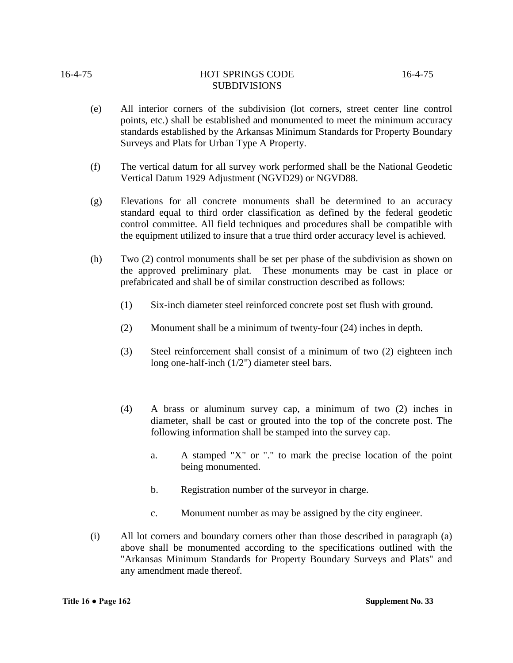- (e) All interior corners of the subdivision (lot corners, street center line control points, etc.) shall be established and monumented to meet the minimum accuracy standards established by the Arkansas Minimum Standards for Property Boundary Surveys and Plats for Urban Type A Property.
- (f) The vertical datum for all survey work performed shall be the National Geodetic Vertical Datum 1929 Adjustment (NGVD29) or NGVD88.
- (g) Elevations for all concrete monuments shall be determined to an accuracy standard equal to third order classification as defined by the federal geodetic control committee. All field techniques and procedures shall be compatible with the equipment utilized to insure that a true third order accuracy level is achieved.
- (h) Two (2) control monuments shall be set per phase of the subdivision as shown on the approved preliminary plat. These monuments may be cast in place or prefabricated and shall be of similar construction described as follows:
	- (1) Six-inch diameter steel reinforced concrete post set flush with ground.
	- (2) Monument shall be a minimum of twenty-four (24) inches in depth.
	- (3) Steel reinforcement shall consist of a minimum of two (2) eighteen inch long one-half-inch (1/2") diameter steel bars.
	- (4) A brass or aluminum survey cap, a minimum of two (2) inches in diameter, shall be cast or grouted into the top of the concrete post. The following information shall be stamped into the survey cap.
		- a. A stamped "X" or "." to mark the precise location of the point being monumented.
		- b. Registration number of the surveyor in charge.
		- c. Monument number as may be assigned by the city engineer.
- (i) All lot corners and boundary corners other than those described in paragraph (a) above shall be monumented according to the specifications outlined with the "Arkansas Minimum Standards for Property Boundary Surveys and Plats" and any amendment made thereof.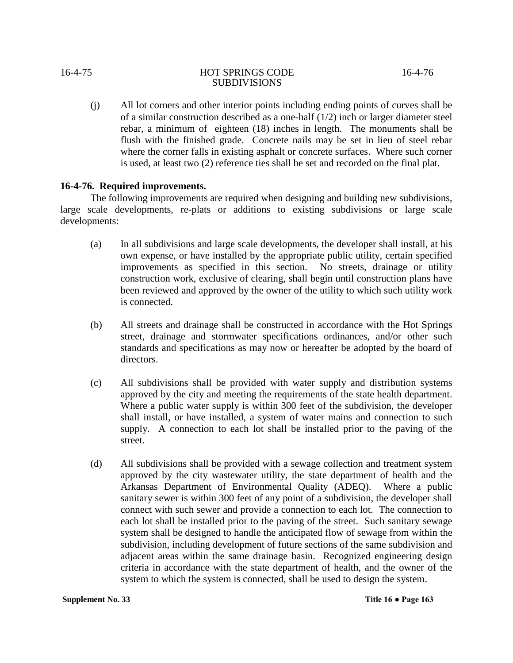(j) All lot corners and other interior points including ending points of curves shall be of a similar construction described as a one-half (1/2) inch or larger diameter steel rebar, a minimum of eighteen (18) inches in length. The monuments shall be flush with the finished grade. Concrete nails may be set in lieu of steel rebar where the corner falls in existing asphalt or concrete surfaces. Where such corner is used, at least two (2) reference ties shall be set and recorded on the final plat.

# **16-4-76. Required improvements.**

The following improvements are required when designing and building new subdivisions, large scale developments, re-plats or additions to existing subdivisions or large scale developments:

- (a) In all subdivisions and large scale developments, the developer shall install, at his own expense, or have installed by the appropriate public utility, certain specified improvements as specified in this section. No streets, drainage or utility construction work, exclusive of clearing, shall begin until construction plans have been reviewed and approved by the owner of the utility to which such utility work is connected.
- (b) All streets and drainage shall be constructed in accordance with the Hot Springs street, drainage and stormwater specifications ordinances, and/or other such standards and specifications as may now or hereafter be adopted by the board of directors.
- (c) All subdivisions shall be provided with water supply and distribution systems approved by the city and meeting the requirements of the state health department. Where a public water supply is within 300 feet of the subdivision, the developer shall install, or have installed, a system of water mains and connection to such supply. A connection to each lot shall be installed prior to the paving of the street.
- (d) All subdivisions shall be provided with a sewage collection and treatment system approved by the city wastewater utility, the state department of health and the Arkansas Department of Environmental Quality (ADEQ). Where a public sanitary sewer is within 300 feet of any point of a subdivision, the developer shall connect with such sewer and provide a connection to each lot. The connection to each lot shall be installed prior to the paving of the street. Such sanitary sewage system shall be designed to handle the anticipated flow of sewage from within the subdivision, including development of future sections of the same subdivision and adjacent areas within the same drainage basin. Recognized engineering design criteria in accordance with the state department of health, and the owner of the system to which the system is connected, shall be used to design the system.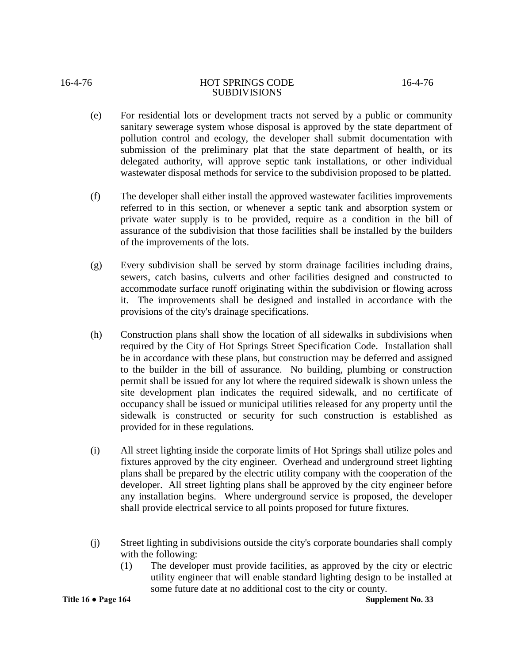# 16-4-76 HOT SPRINGS CODE 16-4-76

# **SUBDIVISIONS**

- (e) For residential lots or development tracts not served by a public or community sanitary sewerage system whose disposal is approved by the state department of pollution control and ecology, the developer shall submit documentation with submission of the preliminary plat that the state department of health, or its delegated authority, will approve septic tank installations, or other individual wastewater disposal methods for service to the subdivision proposed to be platted.
- (f) The developer shall either install the approved wastewater facilities improvements referred to in this section, or whenever a septic tank and absorption system or private water supply is to be provided, require as a condition in the bill of assurance of the subdivision that those facilities shall be installed by the builders of the improvements of the lots.
- (g) Every subdivision shall be served by storm drainage facilities including drains, sewers, catch basins, culverts and other facilities designed and constructed to accommodate surface runoff originating within the subdivision or flowing across it. The improvements shall be designed and installed in accordance with the provisions of the city's drainage specifications.
- (h) Construction plans shall show the location of all sidewalks in subdivisions when required by the City of Hot Springs Street Specification Code. Installation shall be in accordance with these plans, but construction may be deferred and assigned to the builder in the bill of assurance. No building, plumbing or construction permit shall be issued for any lot where the required sidewalk is shown unless the site development plan indicates the required sidewalk, and no certificate of occupancy shall be issued or municipal utilities released for any property until the sidewalk is constructed or security for such construction is established as provided for in these regulations.
- (i) All street lighting inside the corporate limits of Hot Springs shall utilize poles and fixtures approved by the city engineer. Overhead and underground street lighting plans shall be prepared by the electric utility company with the cooperation of the developer. All street lighting plans shall be approved by the city engineer before any installation begins. Where underground service is proposed, the developer shall provide electrical service to all points proposed for future fixtures.
- (j) Street lighting in subdivisions outside the city's corporate boundaries shall comply with the following:
	- (1) The developer must provide facilities, as approved by the city or electric utility engineer that will enable standard lighting design to be installed at some future date at no additional cost to the city or county.

**Title 16 ● Page 164 Supplement No. 33**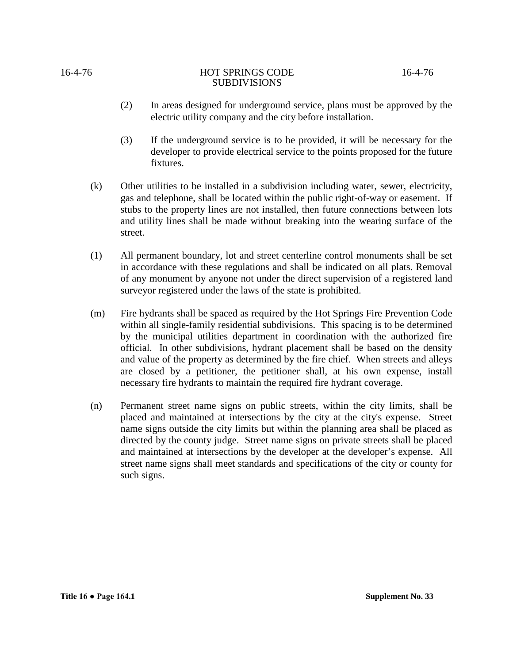- (2) In areas designed for underground service, plans must be approved by the electric utility company and the city before installation.
- (3) If the underground service is to be provided, it will be necessary for the developer to provide electrical service to the points proposed for the future fixtures.
- (k) Other utilities to be installed in a subdivision including water, sewer, electricity, gas and telephone, shall be located within the public right-of-way or easement. If stubs to the property lines are not installed, then future connections between lots and utility lines shall be made without breaking into the wearing surface of the street.
- (1) All permanent boundary, lot and street centerline control monuments shall be set in accordance with these regulations and shall be indicated on all plats. Removal of any monument by anyone not under the direct supervision of a registered land surveyor registered under the laws of the state is prohibited.
- (m) Fire hydrants shall be spaced as required by the Hot Springs Fire Prevention Code within all single-family residential subdivisions. This spacing is to be determined by the municipal utilities department in coordination with the authorized fire official. In other subdivisions, hydrant placement shall be based on the density and value of the property as determined by the fire chief. When streets and alleys are closed by a petitioner, the petitioner shall, at his own expense, install necessary fire hydrants to maintain the required fire hydrant coverage.
- (n) Permanent street name signs on public streets, within the city limits, shall be placed and maintained at intersections by the city at the city's expense. Street name signs outside the city limits but within the planning area shall be placed as directed by the county judge. Street name signs on private streets shall be placed and maintained at intersections by the developer at the developer's expense. All street name signs shall meet standards and specifications of the city or county for such signs.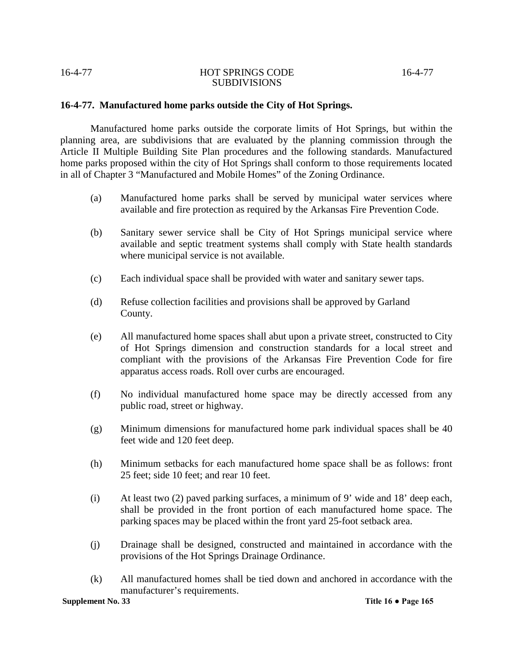# **16-4-77. Manufactured home parks outside the City of Hot Springs.**

Manufactured home parks outside the corporate limits of Hot Springs, but within the planning area, are subdivisions that are evaluated by the planning commission through the Article II Multiple Building Site Plan procedures and the following standards. Manufactured home parks proposed within the city of Hot Springs shall conform to those requirements located in all of Chapter 3 "Manufactured and Mobile Homes" of the Zoning Ordinance.

- (a) Manufactured home parks shall be served by municipal water services where available and fire protection as required by the Arkansas Fire Prevention Code.
- (b) Sanitary sewer service shall be City of Hot Springs municipal service where available and septic treatment systems shall comply with State health standards where municipal service is not available.
- (c) Each individual space shall be provided with water and sanitary sewer taps.
- (d) Refuse collection facilities and provisions shall be approved by Garland County.
- (e) All manufactured home spaces shall abut upon a private street, constructed to City of Hot Springs dimension and construction standards for a local street and compliant with the provisions of the Arkansas Fire Prevention Code for fire apparatus access roads. Roll over curbs are encouraged.
- (f) No individual manufactured home space may be directly accessed from any public road, street or highway.
- (g) Minimum dimensions for manufactured home park individual spaces shall be 40 feet wide and 120 feet deep.
- (h) Minimum setbacks for each manufactured home space shall be as follows: front 25 feet; side 10 feet; and rear 10 feet.
- (i) At least two (2) paved parking surfaces, a minimum of 9' wide and 18' deep each, shall be provided in the front portion of each manufactured home space. The parking spaces may be placed within the front yard 25-foot setback area.
- (j) Drainage shall be designed, constructed and maintained in accordance with the provisions of the Hot Springs Drainage Ordinance.
- (k) All manufactured homes shall be tied down and anchored in accordance with the manufacturer's requirements.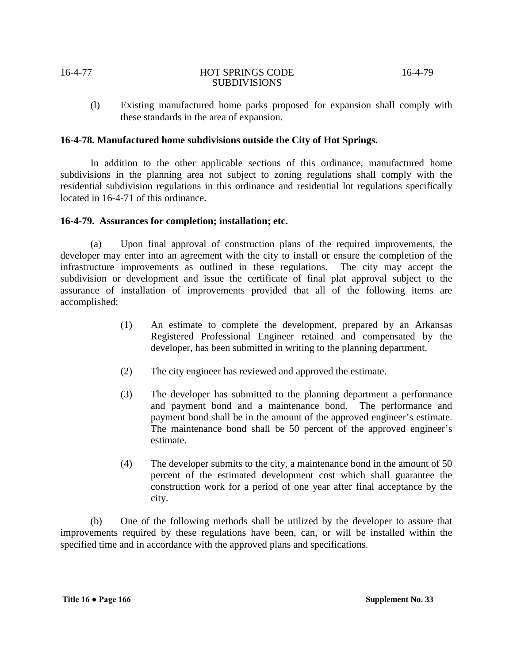(l) Existing manufactured home parks proposed for expansion shall comply with these standards in the area of expansion.

# **16-4-78. Manufactured home subdivisions outside the City of Hot Springs.**

In addition to the other applicable sections of this ordinance, manufactured home subdivisions in the planning area not subject to zoning regulations shall comply with the residential subdivision regulations in this ordinance and residential lot regulations specifically located in 16-4-71 of this ordinance.

# **16-4-79. Assurances for completion; installation; etc.**

(a) Upon final approval of construction plans of the required improvements, the developer may enter into an agreement with the city to install or ensure the completion of the infrastructure improvements as outlined in these regulations. The city may accept the subdivision or development and issue the certificate of final plat approval subject to the assurance of installation of improvements provided that all of the following items are accomplished:

- (1) An estimate to complete the development, prepared by an Arkansas Registered Professional Engineer retained and compensated by the developer, has been submitted in writing to the planning department.
- (2) The city engineer has reviewed and approved the estimate.
- (3) The developer has submitted to the planning department a performance and payment bond and a maintenance bond. The performance and payment bond shall be in the amount of the approved engineer's estimate. The maintenance bond shall be 50 percent of the approved engineer's estimate.
- (4) The developer submits to the city, a maintenance bond in the amount of 50 percent of the estimated development cost which shall guarantee the construction work for a period of one year after final acceptance by the city.

(b) One of the following methods shall be utilized by the developer to assure that improvements required by these regulations have been, can, or will be installed within the specified time and in accordance with the approved plans and specifications.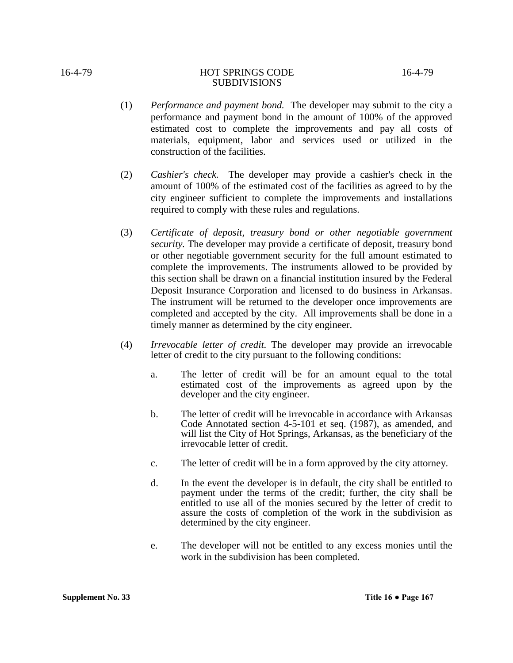- (1) *Performance and payment bond.* The developer may submit to the city a performance and payment bond in the amount of 100% of the approved estimated cost to complete the improvements and pay all costs of materials, equipment, labor and services used or utilized in the construction of the facilities.
- (2) *Cashier's check.* The developer may provide a cashier's check in the amount of 100% of the estimated cost of the facilities as agreed to by the city engineer sufficient to complete the improvements and installations required to comply with these rules and regulations.
- (3) *Certificate of deposit, treasury bond or other negotiable government security.* The developer may provide a certificate of deposit, treasury bond or other negotiable government security for the full amount estimated to complete the improvements. The instruments allowed to be provided by this section shall be drawn on a financial institution insured by the Federal Deposit Insurance Corporation and licensed to do business in Arkansas. The instrument will be returned to the developer once improvements are completed and accepted by the city. All improvements shall be done in a timely manner as determined by the city engineer.
- (4) *Irrevocable letter of credit.* The developer may provide an irrevocable letter of credit to the city pursuant to the following conditions:
	- a. The letter of credit will be for an amount equal to the total estimated cost of the improvements as agreed upon by the developer and the city engineer.
	- b. The letter of credit will be irrevocable in accordance with Arkansas Code Annotated section 4-5-101 et seq. (1987), as amended, and will list the City of Hot Springs, Arkansas, as the beneficiary of the irrevocable letter of credit.
	- c. The letter of credit will be in a form approved by the city attorney.
	- d. In the event the developer is in default, the city shall be entitled to payment under the terms of the credit; further, the city shall be entitled to use all of the monies secured by the letter of credit to assure the costs of completion of the work in the subdivision as determined by the city engineer.
	- e. The developer will not be entitled to any excess monies until the work in the subdivision has been completed.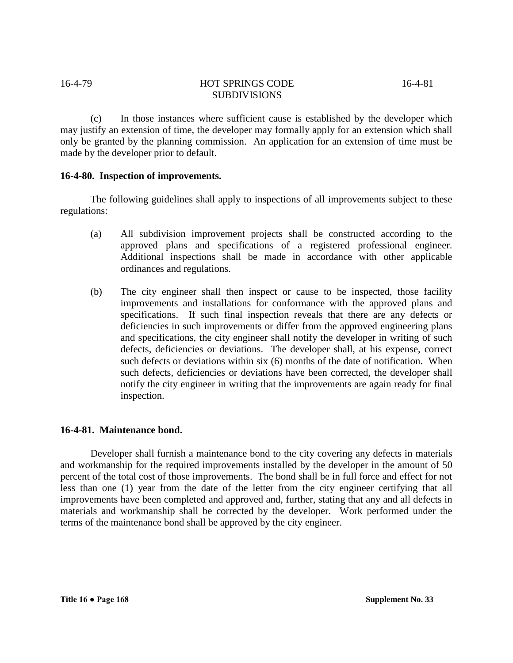(c) In those instances where sufficient cause is established by the developer which may justify an extension of time, the developer may formally apply for an extension which shall only be granted by the planning commission. An application for an extension of time must be made by the developer prior to default.

# **16-4-80. Inspection of improvements.**

The following guidelines shall apply to inspections of all improvements subject to these regulations:

- (a) All subdivision improvement projects shall be constructed according to the approved plans and specifications of a registered professional engineer. Additional inspections shall be made in accordance with other applicable ordinances and regulations.
- (b) The city engineer shall then inspect or cause to be inspected, those facility improvements and installations for conformance with the approved plans and specifications. If such final inspection reveals that there are any defects or deficiencies in such improvements or differ from the approved engineering plans and specifications, the city engineer shall notify the developer in writing of such defects, deficiencies or deviations. The developer shall, at his expense, correct such defects or deviations within six (6) months of the date of notification. When such defects, deficiencies or deviations have been corrected, the developer shall notify the city engineer in writing that the improvements are again ready for final inspection.

# **16-4-81. Maintenance bond.**

Developer shall furnish a maintenance bond to the city covering any defects in materials and workmanship for the required improvements installed by the developer in the amount of 50 percent of the total cost of those improvements. The bond shall be in full force and effect for not less than one (1) year from the date of the letter from the city engineer certifying that all improvements have been completed and approved and, further, stating that any and all defects in materials and workmanship shall be corrected by the developer. Work performed under the terms of the maintenance bond shall be approved by the city engineer.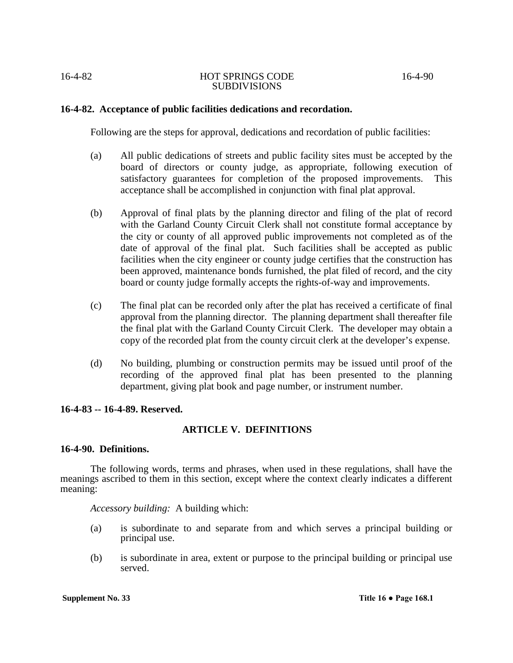# **16-4-82. Acceptance of public facilities dedications and recordation.**

Following are the steps for approval, dedications and recordation of public facilities:

- (a) All public dedications of streets and public facility sites must be accepted by the board of directors or county judge, as appropriate, following execution of satisfactory guarantees for completion of the proposed improvements. This acceptance shall be accomplished in conjunction with final plat approval.
- (b) Approval of final plats by the planning director and filing of the plat of record with the Garland County Circuit Clerk shall not constitute formal acceptance by the city or county of all approved public improvements not completed as of the date of approval of the final plat. Such facilities shall be accepted as public facilities when the city engineer or county judge certifies that the construction has been approved, maintenance bonds furnished, the plat filed of record, and the city board or county judge formally accepts the rights-of-way and improvements.
- (c) The final plat can be recorded only after the plat has received a certificate of final approval from the planning director. The planning department shall thereafter file the final plat with the Garland County Circuit Clerk. The developer may obtain a copy of the recorded plat from the county circuit clerk at the developer's expense.
- (d) No building, plumbing or construction permits may be issued until proof of the recording of the approved final plat has been presented to the planning department, giving plat book and page number, or instrument number.

# **16-4-83 -- 16-4-89. Reserved.**

# **ARTICLE V. DEFINITIONS**

# **16-4-90. Definitions.**

The following words, terms and phrases, when used in these regulations, shall have the meanings ascribed to them in this section, except where the context clearly indicates a different meaning:

# *Accessory building:* A building which:

- (a) is subordinate to and separate from and which serves a principal building or principal use.
- (b) is subordinate in area, extent or purpose to the principal building or principal use served.

**Supplement No. 33 Title 16 • Page 168.1**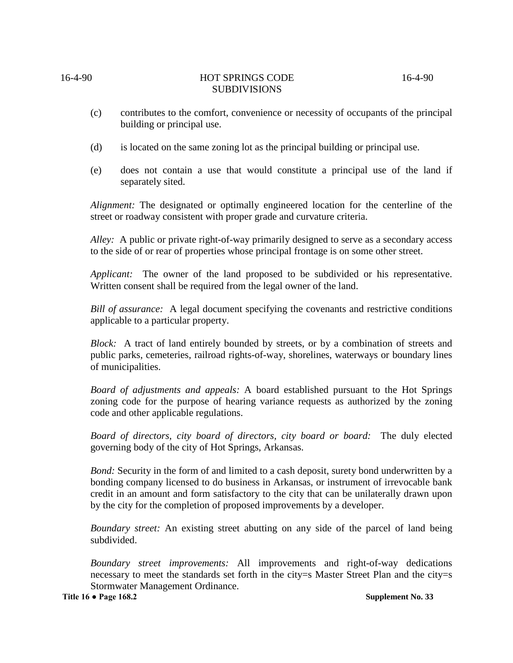- (c) contributes to the comfort, convenience or necessity of occupants of the principal building or principal use.
- (d) is located on the same zoning lot as the principal building or principal use.
- (e) does not contain a use that would constitute a principal use of the land if separately sited.

*Alignment:* The designated or optimally engineered location for the centerline of the street or roadway consistent with proper grade and curvature criteria.

*Alley:* A public or private right-of-way primarily designed to serve as a secondary access to the side of or rear of properties whose principal frontage is on some other street.

*Applicant:* The owner of the land proposed to be subdivided or his representative. Written consent shall be required from the legal owner of the land.

*Bill of assurance:* A legal document specifying the covenants and restrictive conditions applicable to a particular property.

*Block:* A tract of land entirely bounded by streets, or by a combination of streets and public parks, cemeteries, railroad rights-of-way, shorelines, waterways or boundary lines of municipalities.

*Board of adjustments and appeals:* A board established pursuant to the Hot Springs zoning code for the purpose of hearing variance requests as authorized by the zoning code and other applicable regulations.

*Board of directors, city board of directors, city board or board:* The duly elected governing body of the city of Hot Springs, Arkansas.

*Bond:* Security in the form of and limited to a cash deposit, surety bond underwritten by a bonding company licensed to do business in Arkansas, or instrument of irrevocable bank credit in an amount and form satisfactory to the city that can be unilaterally drawn upon by the city for the completion of proposed improvements by a developer.

*Boundary street:* An existing street abutting on any side of the parcel of land being subdivided.

*Boundary street improvements:* All improvements and right-of-way dedications necessary to meet the standards set forth in the city=s Master Street Plan and the city=s Stormwater Management Ordinance.

**Title 16 ● Page 168.2 Supplement No. 33**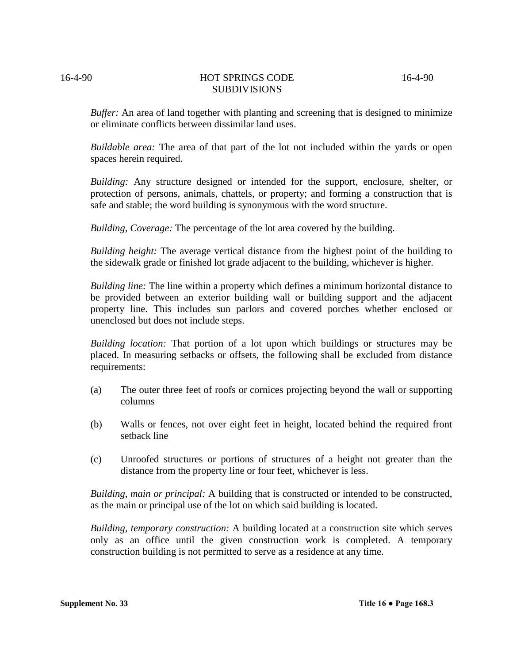*Buffer:* An area of land together with planting and screening that is designed to minimize or eliminate conflicts between dissimilar land uses.

*Buildable area:* The area of that part of the lot not included within the yards or open spaces herein required.

*Building:* Any structure designed or intended for the support, enclosure, shelter, or protection of persons, animals, chattels, or property; and forming a construction that is safe and stable; the word building is synonymous with the word structure.

*Building, Coverage:* The percentage of the lot area covered by the building.

*Building height:* The average vertical distance from the highest point of the building to the sidewalk grade or finished lot grade adjacent to the building, whichever is higher.

*Building line:* The line within a property which defines a minimum horizontal distance to be provided between an exterior building wall or building support and the adjacent property line. This includes sun parlors and covered porches whether enclosed or unenclosed but does not include steps.

*Building location:* That portion of a lot upon which buildings or structures may be placed. In measuring setbacks or offsets, the following shall be excluded from distance requirements:

- (a) The outer three feet of roofs or cornices projecting beyond the wall or supporting columns
- (b) Walls or fences, not over eight feet in height, located behind the required front setback line
- (c) Unroofed structures or portions of structures of a height not greater than the distance from the property line or four feet, whichever is less.

*Building, main or principal:* A building that is constructed or intended to be constructed, as the main or principal use of the lot on which said building is located.

*Building, temporary construction:* A building located at a construction site which serves only as an office until the given construction work is completed. A temporary construction building is not permitted to serve as a residence at any time.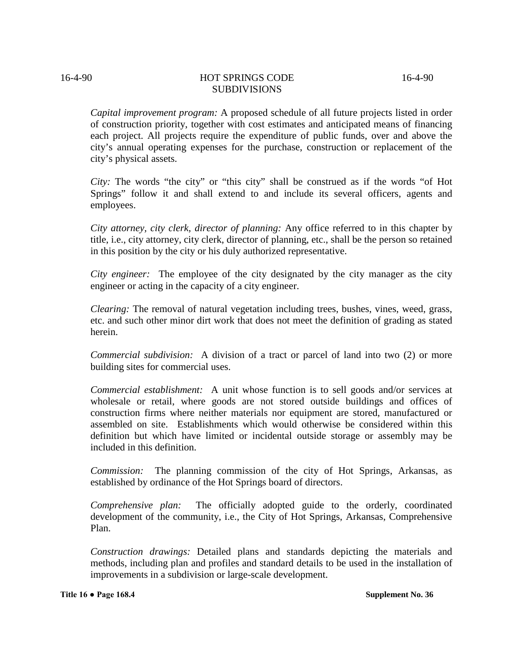*Capital improvement program:* A proposed schedule of all future projects listed in order of construction priority, together with cost estimates and anticipated means of financing each project. All projects require the expenditure of public funds, over and above the city's annual operating expenses for the purchase, construction or replacement of the city's physical assets.

*City:* The words "the city" or "this city" shall be construed as if the words "of Hot Springs" follow it and shall extend to and include its several officers, agents and employees.

*City attorney, city clerk, director of planning:* Any office referred to in this chapter by title, i.e., city attorney, city clerk, director of planning, etc., shall be the person so retained in this position by the city or his duly authorized representative.

*City engineer:* The employee of the city designated by the city manager as the city engineer or acting in the capacity of a city engineer.

*Clearing:* The removal of natural vegetation including trees, bushes, vines, weed, grass, etc. and such other minor dirt work that does not meet the definition of grading as stated herein.

*Commercial subdivision:*A division of a tract or parcel of land into two (2) or more building sites for commercial uses.

*Commercial establishment:* A unit whose function is to sell goods and/or services at wholesale or retail, where goods are not stored outside buildings and offices of construction firms where neither materials nor equipment are stored, manufactured or assembled on site. Establishments which would otherwise be considered within this definition but which have limited or incidental outside storage or assembly may be included in this definition.

*Commission:* The planning commission of the city of Hot Springs, Arkansas, as established by ordinance of the Hot Springs board of directors.

*Comprehensive plan:* The officially adopted guide to the orderly, coordinated development of the community, i.e., the City of Hot Springs, Arkansas, Comprehensive Plan.

*Construction drawings:* Detailed plans and standards depicting the materials and methods, including plan and profiles and standard details to be used in the installation of improvements in a subdivision or large-scale development.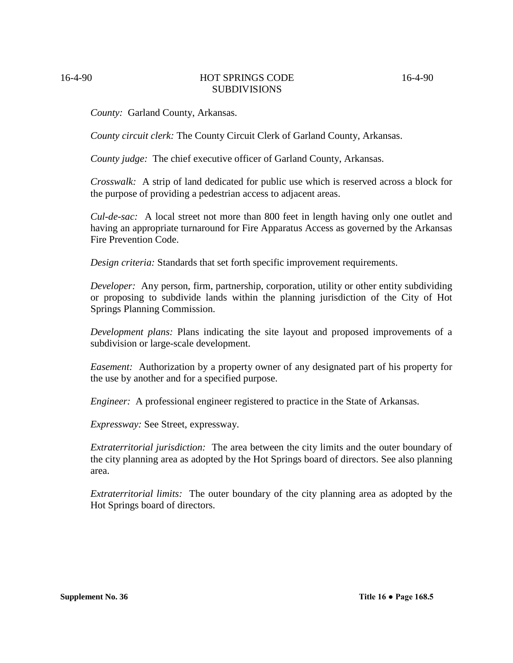*County:* Garland County, Arkansas.

*County circuit clerk:* The County Circuit Clerk of Garland County, Arkansas.

*County judge:* The chief executive officer of Garland County, Arkansas.

*Crosswalk:* A strip of land dedicated for public use which is reserved across a block for the purpose of providing a pedestrian access to adjacent areas.

*Cul-de-sac:* A local street not more than 800 feet in length having only one outlet and having an appropriate turnaround for Fire Apparatus Access as governed by the Arkansas Fire Prevention Code.

*Design criteria:* Standards that set forth specific improvement requirements.

*Developer:* Any person, firm, partnership, corporation, utility or other entity subdividing or proposing to subdivide lands within the planning jurisdiction of the City of Hot Springs Planning Commission.

*Development plans:* Plans indicating the site layout and proposed improvements of a subdivision or large-scale development.

*Easement:* Authorization by a property owner of any designated part of his property for the use by another and for a specified purpose.

*Engineer:* A professional engineer registered to practice in the State of Arkansas.

*Expressway:* See Street, expressway.

*Extraterritorial jurisdiction:* The area between the city limits and the outer boundary of the city planning area as adopted by the Hot Springs board of directors. See also planning area.

*Extraterritorial limits:* The outer boundary of the city planning area as adopted by the Hot Springs board of directors.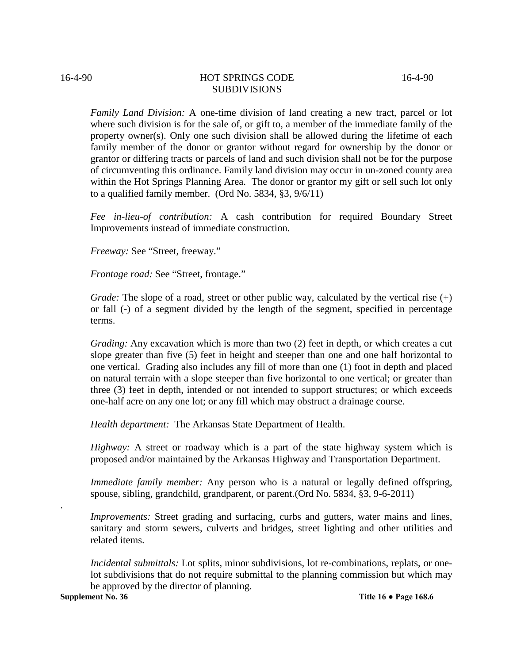*Family Land Division:* A one-time division of land creating a new tract, parcel or lot where such division is for the sale of, or gift to, a member of the immediate family of the property owner(s). Only one such division shall be allowed during the lifetime of each family member of the donor or grantor without regard for ownership by the donor or grantor or differing tracts or parcels of land and such division shall not be for the purpose of circumventing this ordinance. Family land division may occur in un-zoned county area within the Hot Springs Planning Area. The donor or grantor my gift or sell such lot only to a qualified family member. (Ord No. 5834, §3, 9/6/11)

*Fee in-lieu-of contribution:* A cash contribution for required Boundary Street Improvements instead of immediate construction.

*Freeway:* See "Street, freeway."

*Frontage road:* See "Street, frontage."

*Grade:* The slope of a road, street or other public way, calculated by the vertical rise  $(+)$ or fall (-) of a segment divided by the length of the segment, specified in percentage terms.

*Grading:* Any excavation which is more than two (2) feet in depth, or which creates a cut slope greater than five (5) feet in height and steeper than one and one half horizontal to one vertical. Grading also includes any fill of more than one (1) foot in depth and placed on natural terrain with a slope steeper than five horizontal to one vertical; or greater than three (3) feet in depth, intended or not intended to support structures; or which exceeds one-half acre on any one lot; or any fill which may obstruct a drainage course.

*Health department:* The Arkansas State Department of Health.

*Highway:* A street or roadway which is a part of the state highway system which is proposed and/or maintained by the Arkansas Highway and Transportation Department.

*Immediate family member:* Any person who is a natural or legally defined offspring, spouse, sibling, grandchild, grandparent, or parent.(Ord No. 5834, §3, 9-6-2011)

*Improvements:* Street grading and surfacing, curbs and gutters, water mains and lines, sanitary and storm sewers, culverts and bridges, street lighting and other utilities and related items.

*Incidental submittals:* Lot splits, minor subdivisions, lot re-combinations, replats, or onelot subdivisions that do not require submittal to the planning commission but which may be approved by the director of planning.

**Supplement No. 36 Title 16 • Page 168.6** 

.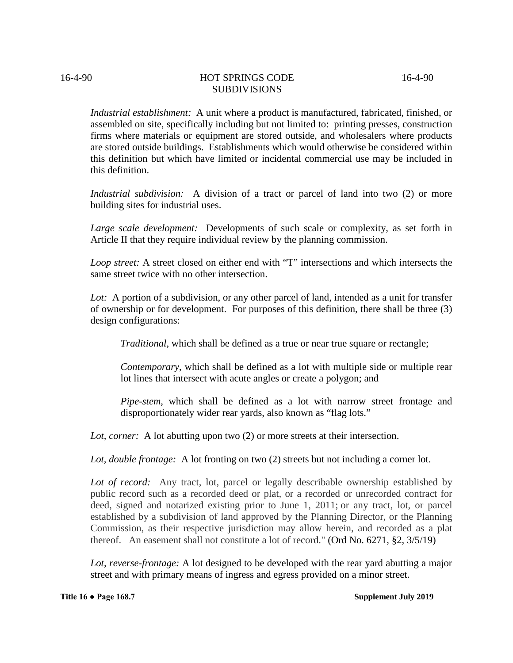*Industrial establishment:* A unit where a product is manufactured, fabricated, finished, or assembled on site, specifically including but not limited to: printing presses, construction firms where materials or equipment are stored outside, and wholesalers where products are stored outside buildings. Establishments which would otherwise be considered within this definition but which have limited or incidental commercial use may be included in this definition.

*Industrial subdivision:* A division of a tract or parcel of land into two (2) or more building sites for industrial uses.

*Large scale development:* Developments of such scale or complexity, as set forth in Article II that they require individual review by the planning commission.

*Loop street:* A street closed on either end with "T" intersections and which intersects the same street twice with no other intersection.

Lot: A portion of a subdivision, or any other parcel of land, intended as a unit for transfer of ownership or for development. For purposes of this definition, there shall be three (3) design configurations:

*Traditional*, which shall be defined as a true or near true square or rectangle;

*Contemporary*, which shall be defined as a lot with multiple side or multiple rear lot lines that intersect with acute angles or create a polygon; and

*Pipe-stem*, which shall be defined as a lot with narrow street frontage and disproportionately wider rear yards, also known as "flag lots."

*Lot, corner:* A lot abutting upon two (2) or more streets at their intersection.

*Lot, double frontage:* A lot fronting on two (2) streets but not including a corner lot.

*Lot of record:* Any tract, lot, parcel or legally describable ownership established by public record such as a recorded deed or plat, or a recorded or unrecorded contract for deed, signed and notarized existing prior to June 1, 2011; or any tract, lot, or parcel established by a subdivision of land approved by the Planning Director, or the Planning Commission, as their respective jurisdiction may allow herein, and recorded as a plat thereof. An easement shall not constitute a lot of record." (Ord No. 6271, §2, 3/5/19)

*Lot, reverse-frontage:* A lot designed to be developed with the rear yard abutting a major street and with primary means of ingress and egress provided on a minor street.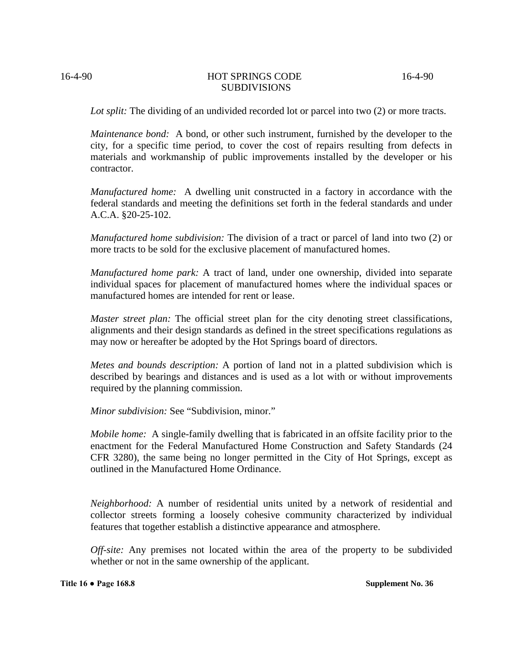*Lot split:* The dividing of an undivided recorded lot or parcel into two (2) or more tracts.

*Maintenance bond:* A bond, or other such instrument, furnished by the developer to the city, for a specific time period, to cover the cost of repairs resulting from defects in materials and workmanship of public improvements installed by the developer or his contractor.

*Manufactured home:* A dwelling unit constructed in a factory in accordance with the federal standards and meeting the definitions set forth in the federal standards and under A.C.A. §20-25-102.

*Manufactured home subdivision:* The division of a tract or parcel of land into two (2) or more tracts to be sold for the exclusive placement of manufactured homes.

*Manufactured home park:* A tract of land, under one ownership, divided into separate individual spaces for placement of manufactured homes where the individual spaces or manufactured homes are intended for rent or lease.

*Master street plan:* The official street plan for the city denoting street classifications, alignments and their design standards as defined in the street specifications regulations as may now or hereafter be adopted by the Hot Springs board of directors.

*Metes and bounds description:* A portion of land not in a platted subdivision which is described by bearings and distances and is used as a lot with or without improvements required by the planning commission.

*Minor subdivision:* See "Subdivision, minor."

*Mobile home:* A single-family dwelling that is fabricated in an offsite facility prior to the enactment for the Federal Manufactured Home Construction and Safety Standards (24 CFR 3280), the same being no longer permitted in the City of Hot Springs, except as outlined in the Manufactured Home Ordinance.

*Neighborhood:* A number of residential units united by a network of residential and collector streets forming a loosely cohesive community characterized by individual features that together establish a distinctive appearance and atmosphere.

*Off-site:* Any premises not located within the area of the property to be subdivided whether or not in the same ownership of the applicant.

**Title 16 ● Page 168.8 Supplement No. 36**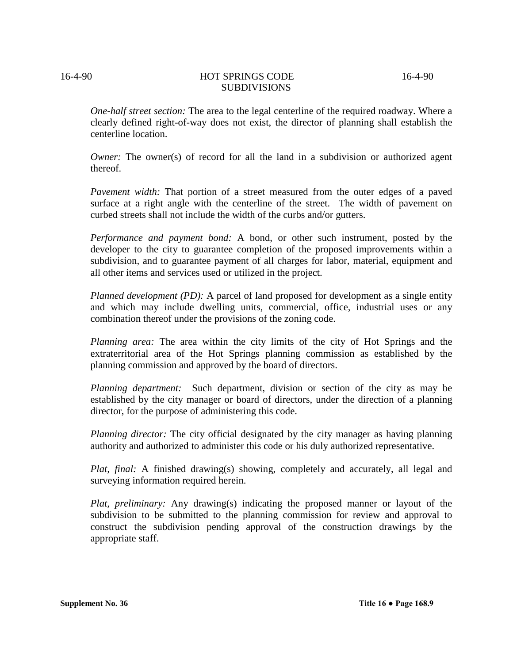*One-half street section:* The area to the legal centerline of the required roadway. Where a clearly defined right-of-way does not exist, the director of planning shall establish the centerline location.

*Owner:* The owner(s) of record for all the land in a subdivision or authorized agent thereof.

*Pavement width:* That portion of a street measured from the outer edges of a paved surface at a right angle with the centerline of the street. The width of pavement on curbed streets shall not include the width of the curbs and/or gutters.

*Performance and payment bond:* A bond, or other such instrument, posted by the developer to the city to guarantee completion of the proposed improvements within a subdivision, and to guarantee payment of all charges for labor, material, equipment and all other items and services used or utilized in the project.

*Planned development (PD):* A parcel of land proposed for development as a single entity and which may include dwelling units, commercial, office, industrial uses or any combination thereof under the provisions of the zoning code.

*Planning area:* The area within the city limits of the city of Hot Springs and the extraterritorial area of the Hot Springs planning commission as established by the planning commission and approved by the board of directors.

*Planning department:* Such department, division or section of the city as may be established by the city manager or board of directors, under the direction of a planning director, for the purpose of administering this code.

*Planning director:* The city official designated by the city manager as having planning authority and authorized to administer this code or his duly authorized representative.

*Plat, final:* A finished drawing(s) showing, completely and accurately, all legal and surveying information required herein.

*Plat, preliminary:* Any drawing(s) indicating the proposed manner or layout of the subdivision to be submitted to the planning commission for review and approval to construct the subdivision pending approval of the construction drawings by the appropriate staff.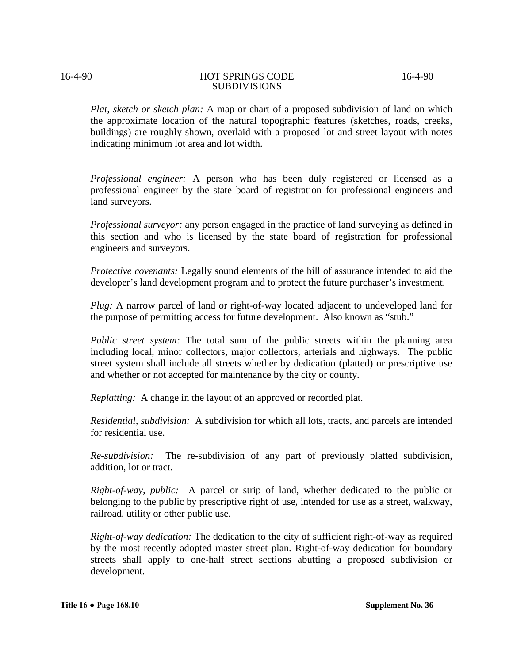*Plat, sketch or sketch plan:* A map or chart of a proposed subdivision of land on which the approximate location of the natural topographic features (sketches, roads, creeks, buildings) are roughly shown, overlaid with a proposed lot and street layout with notes indicating minimum lot area and lot width.

*Professional engineer:* A person who has been duly registered or licensed as a professional engineer by the state board of registration for professional engineers and land surveyors.

*Professional surveyor:* any person engaged in the practice of land surveying as defined in this section and who is licensed by the state board of registration for professional engineers and surveyors.

*Protective covenants:* Legally sound elements of the bill of assurance intended to aid the developer's land development program and to protect the future purchaser's investment.

*Plug:* A narrow parcel of land or right-of-way located adjacent to undeveloped land for the purpose of permitting access for future development. Also known as "stub."

*Public street system:* The total sum of the public streets within the planning area including local, minor collectors, major collectors, arterials and highways. The public street system shall include all streets whether by dedication (platted) or prescriptive use and whether or not accepted for maintenance by the city or county.

*Replatting:*A change in the layout of an approved or recorded plat.

*Residential, subdivision:* A subdivision for which all lots, tracts, and parcels are intended for residential use.

*Re-subdivision:* The re-subdivision of any part of previously platted subdivision, addition, lot or tract.

*Right-of-way, public:* A parcel or strip of land, whether dedicated to the public or belonging to the public by prescriptive right of use, intended for use as a street, walkway, railroad, utility or other public use.

*Right-of-way dedication:* The dedication to the city of sufficient right-of-way as required by the most recently adopted master street plan. Right-of-way dedication for boundary streets shall apply to one-half street sections abutting a proposed subdivision or development.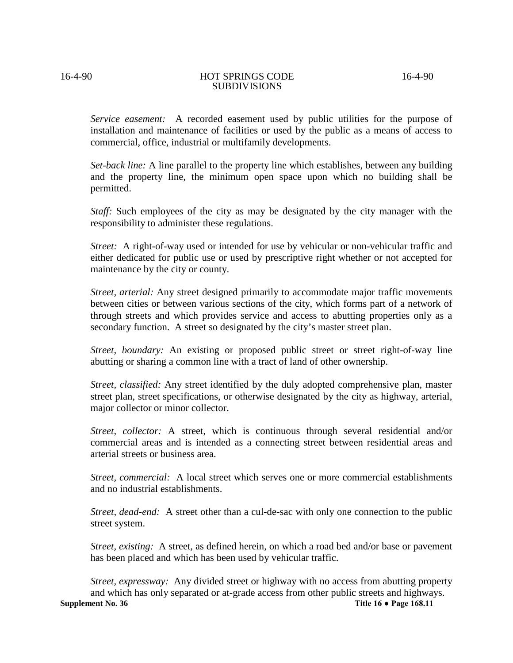*Service easement:* A recorded easement used by public utilities for the purpose of installation and maintenance of facilities or used by the public as a means of access to commercial, office, industrial or multifamily developments.

*Set-back line:* A line parallel to the property line which establishes, between any building and the property line, the minimum open space upon which no building shall be permitted.

*Staff:* Such employees of the city as may be designated by the city manager with the responsibility to administer these regulations.

*Street:* A right-of-way used or intended for use by vehicular or non-vehicular traffic and either dedicated for public use or used by prescriptive right whether or not accepted for maintenance by the city or county.

*Street, arterial:* Any street designed primarily to accommodate major traffic movements between cities or between various sections of the city, which forms part of a network of through streets and which provides service and access to abutting properties only as a secondary function. A street so designated by the city's master street plan.

*Street, boundary:* An existing or proposed public street or street right-of-way line abutting or sharing a common line with a tract of land of other ownership.

*Street, classified:* Any street identified by the duly adopted comprehensive plan, master street plan, street specifications, or otherwise designated by the city as highway, arterial, major collector or minor collector.

*Street, collector:* A street, which is continuous through several residential and/or commercial areas and is intended as a connecting street between residential areas and arterial streets or business area.

*Street, commercial:* A local street which serves one or more commercial establishments and no industrial establishments.

*Street, dead-end:* A street other than a cul-de-sac with only one connection to the public street system.

*Street, existing:* A street, as defined herein, on which a road bed and/or base or pavement has been placed and which has been used by vehicular traffic.

*Street, expressway:* Any divided street or highway with no access from abutting property and which has only separated or at-grade access from other public streets and highways.<br>Supplement No. 36 Title 16  $\bullet$  Page 168.11 **Supplement No. 36 Title 16 ● Page 168.11**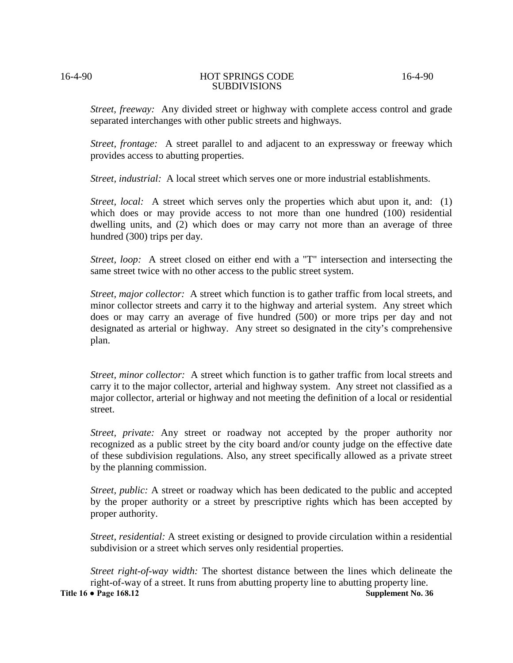*Street, freeway:* Any divided street or highway with complete access control and grade separated interchanges with other public streets and highways.

*Street, frontage:* A street parallel to and adjacent to an expressway or freeway which provides access to abutting properties.

*Street, industrial:* A local street which serves one or more industrial establishments.

*Street, local:* A street which serves only the properties which abut upon it, and: (1) which does or may provide access to not more than one hundred (100) residential dwelling units, and (2) which does or may carry not more than an average of three hundred (300) trips per day.

*Street, loop:* A street closed on either end with a "T" intersection and intersecting the same street twice with no other access to the public street system.

*Street, major collector:* A street which function is to gather traffic from local streets, and minor collector streets and carry it to the highway and arterial system. Any street which does or may carry an average of five hundred (500) or more trips per day and not designated as arterial or highway. Any street so designated in the city's comprehensive plan.

*Street, minor collector:* A street which function is to gather traffic from local streets and carry it to the major collector, arterial and highway system. Any street not classified as a major collector, arterial or highway and not meeting the definition of a local or residential street.

*Street, private:* Any street or roadway not accepted by the proper authority nor recognized as a public street by the city board and/or county judge on the effective date of these subdivision regulations. Also, any street specifically allowed as a private street by the planning commission.

*Street, public:* A street or roadway which has been dedicated to the public and accepted by the proper authority or a street by prescriptive rights which has been accepted by proper authority.

*Street, residential:* A street existing or designed to provide circulation within a residential subdivision or a street which serves only residential properties.

*Street right-of-way width:* The shortest distance between the lines which delineate the right-of-way of a street. It runs from abutting property line to abutting property line.<br>• Page 168.12 Supplement No. 36 **Title 16 • Page 168.12**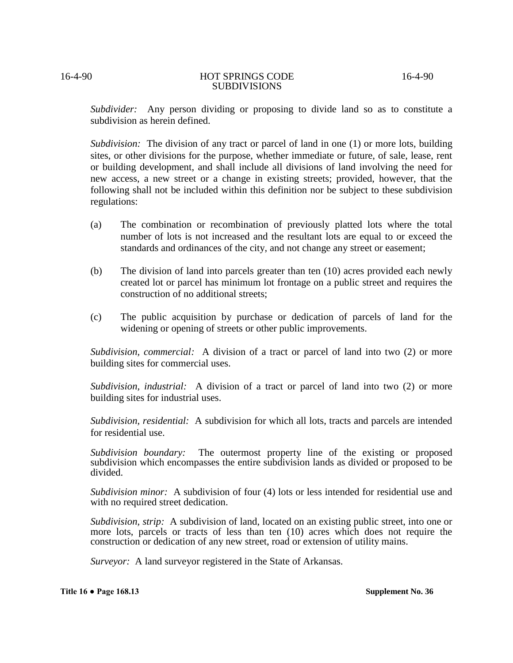*Subdivider:* Any person dividing or proposing to divide land so as to constitute a subdivision as herein defined.

*Subdivision:* The division of any tract or parcel of land in one (1) or more lots, building sites, or other divisions for the purpose, whether immediate or future, of sale, lease, rent or building development, and shall include all divisions of land involving the need for new access, a new street or a change in existing streets; provided, however, that the following shall not be included within this definition nor be subject to these subdivision regulations:

- (a) The combination or recombination of previously platted lots where the total number of lots is not increased and the resultant lots are equal to or exceed the standards and ordinances of the city, and not change any street or easement;
- (b) The division of land into parcels greater than ten (10) acres provided each newly created lot or parcel has minimum lot frontage on a public street and requires the construction of no additional streets;
- (c) The public acquisition by purchase or dedication of parcels of land for the widening or opening of streets or other public improvements.

*Subdivision, commercial:* A division of a tract or parcel of land into two (2) or more building sites for commercial uses.

*Subdivision, industrial:*A division of a tract or parcel of land into two (2) or more building sites for industrial uses.

*Subdivision, residential:* A subdivision for which all lots, tracts and parcels are intended for residential use.

*Subdivision boundary:* The outermost property line of the existing or proposed subdivision which encompasses the entire subdivision lands as divided or proposed to be divided.

*Subdivision minor:* A subdivision of four (4) lots or less intended for residential use and with no required street dedication.

*Subdivision, strip:*A subdivision of land, located on an existing public street, into one or more lots, parcels or tracts of less than ten (10) acres which does not require the construction or dedication of any new street, road or extension of utility mains.

*Surveyor:* A land surveyor registered in the State of Arkansas.

**Title 16 ● Page 168.13 Supplement No. 36**